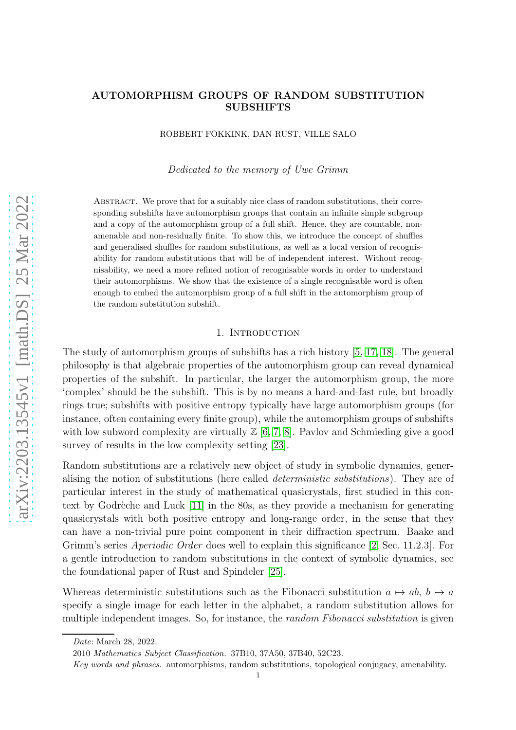## AUTOMORPHISM GROUPS OF RANDOM SUBSTITUTION SUBSHIFTS

ROBBERT FOKKINK, DAN RUST, VILLE SALO

Dedicated to the memory of Uwe Grimm

Abstract. We prove that for a suitably nice class of random substitutions, their corresponding subshifts have automorphism groups that contain an infinite simple subgroup and a copy of the automorphism group of a full shift. Hence, they are countable, nonamenable and non-residually finite. To show this, we introduce the concept of shuffles and generalised shuffles for random substitutions, as well as a local version of recognisability for random substitutions that will be of independent interest. Without recognisability, we need a more refined notion of recognisable words in order to understand their automorphisms. We show that the existence of a single recognisable word is often enough to embed the automorphism group of a full shift in the automorphism group of the random substitution subshift.

#### 1. INTRODUCTION

The study of automorphism groups of subshifts has a rich history [\[5,](#page-27-0) [17,](#page-27-1) [18\]](#page-27-2). The general philosophy is that algebraic properties of the automorphism group can reveal dynamical properties of the subshift. In particular, the larger the automorphism group, the more 'complex' should be the subshift. This is by no means a hard-and-fast rule, but broadly rings true; subshifts with positive entropy typically have large automorphism groups (for instance, often containing every finite group), while the automorphism groups of subshifts with low subword complexity are virtually  $\mathbb{Z}$  [\[6,](#page-27-3) [7,](#page-27-4) [8\]](#page-27-5). Pavlov and Schmieding give a good survey of results in the low complexity setting [\[23\]](#page-28-0).

Random substitutions are a relatively new object of study in symbolic dynamics, generalising the notion of substitutions (here called deterministic substitutions). They are of particular interest in the study of mathematical quasicrystals, first studied in this context by Godrèche and Luck  $[11]$  in the 80s, as they provide a mechanism for generating quasicrystals with both positive entropy and long-range order, in the sense that they can have a non-trivial pure point component in their diffraction spectrum. Baake and Grimm's series Aperiodic Order does well to explain this significance [\[2,](#page-27-7) Sec. 11.2.3]. For a gentle introduction to random substitutions in the context of symbolic dynamics, see the foundational paper of Rust and Spindeler [\[25\]](#page-28-1).

Whereas deterministic substitutions such as the Fibonacci substitution  $a \mapsto ab$ ,  $b \mapsto a$ specify a single image for each letter in the alphabet, a random substitution allows for multiple independent images. So, for instance, the *random Fibonacci substitution* is given

*Date*: March 28, 2022.

<sup>2010</sup> *Mathematics Subject Classification.* 37B10, 37A50, 37B40, 52C23.

*Key words and phrases.* automorphisms, random substitutions, topological conjugacy, amenability.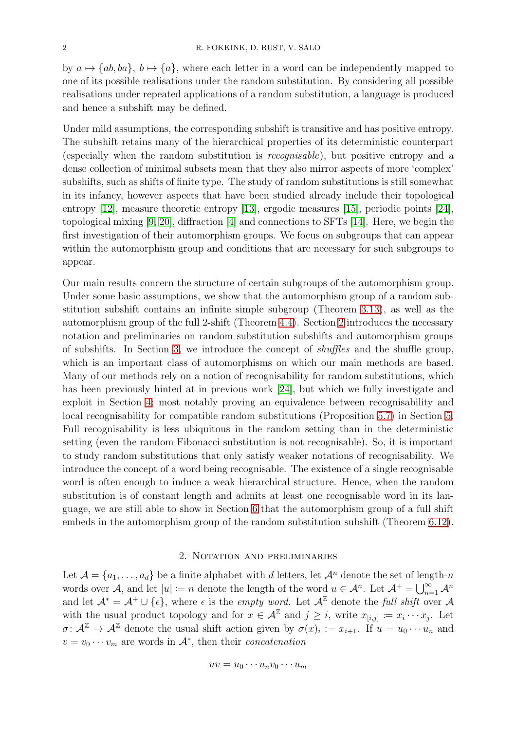by  $a \mapsto \{ab, ba\}, b \mapsto \{a\}$ , where each letter in a word can be independently mapped to one of its possible realisations under the random substitution. By considering all possible realisations under repeated applications of a random substitution, a language is produced and hence a subshift may be defined.

Under mild assumptions, the corresponding subshift is transitive and has positive entropy. The subshift retains many of the hierarchical properties of its deterministic counterpart (especially when the random substitution is recognisable), but positive entropy and a dense collection of minimal subsets mean that they also mirror aspects of more 'complex' subshifts, such as shifts of finite type. The study of random substitutions is still somewhat in its infancy, however aspects that have been studied already include their topological entropy [\[12\]](#page-27-8), measure theoretic entropy [\[13\]](#page-27-9), ergodic measures [\[15\]](#page-27-10), periodic points [\[24\]](#page-28-2), topological mixing [\[9,](#page-27-11) [20\]](#page-27-12), diffraction [\[4\]](#page-27-13) and connections to SFTs [\[14\]](#page-27-14). Here, we begin the first investigation of their automorphism groups. We focus on subgroups that can appear within the automorphism group and conditions that are necessary for such subgroups to appear.

Our main results concern the structure of certain subgroups of the automorphism group. Under some basic assumptions, we show that the automorphism group of a random substitution subshift contains an infinite simple subgroup (Theorem [3.13\)](#page-12-0), as well as the automorphism group of the full 2-shift (Theorem [4.4\)](#page-13-0). Section [2](#page-1-0) introduces the necessary notation and preliminaries on random substitution subshifts and automorphism groups of subshifts. In Section [3,](#page-5-0) we introduce the concept of shuffles and the shuffle group, which is an important class of automorphisms on which our main methods are based. Many of our methods rely on a notion of recognisability for random substitutions, which has been previously hinted at in previous work [\[24\]](#page-28-2), but which we fully investigate and exploit in Section [4;](#page-12-1) most notably proving an equivalence between recognisability and local recognisability for compatible random substitutions (Proposition [5.7\)](#page-16-0) in Section [5.](#page-14-0) Full recognisability is less ubiquitous in the random setting than in the deterministic setting (even the random Fibonacci substitution is not recognisable). So, it is important to study random substitutions that only satisfy weaker notations of recognisability. We introduce the concept of a word being recognisable. The existence of a single recognisable word is often enough to induce a weak hierarchical structure. Hence, when the random substitution is of constant length and admits at least one recognisable word in its language, we are still able to show in Section [6](#page-17-0) that the automorphism group of a full shift embeds in the automorphism group of the random substitution subshift (Theorem [6.12\)](#page-24-0).

### 2. Notation and preliminaries

<span id="page-1-0"></span>Let  $\mathcal{A} = \{a_1, \ldots, a_d\}$  be a finite alphabet with d letters, let  $\mathcal{A}^n$  denote the set of length-n words over A, and let  $|u| := n$  denote the length of the word  $u \in \mathcal{A}^n$ . Let  $\mathcal{A}^+ = \bigcup_{n=1}^{\infty} \mathcal{A}^n$ and let  $\mathcal{A}^* = \mathcal{A}^+ \cup \{\epsilon\}$ , where  $\epsilon$  is the *empty word*. Let  $\mathcal{A}^{\mathbb{Z}}$  denote the full shift over  $\mathcal{A}$ with the usual product topology and for  $x \in \mathcal{A}^{\mathbb{Z}}$  and  $j \geq i$ , write  $x_{[i,j]} := x_i \cdots x_j$ . Let  $\sigma: \mathcal{A}^{\mathbb{Z}} \to \mathcal{A}^{\mathbb{Z}}$  denote the usual shift action given by  $\sigma(x)_i := x_{i+1}$ . If  $u = u_0 \cdots u_n$  and  $v = v_0 \cdots v_m$  are words in  $\mathcal{A}^*$ , then their *concatenation* 

$$
uv = u_0 \cdots u_n v_0 \cdots u_m
$$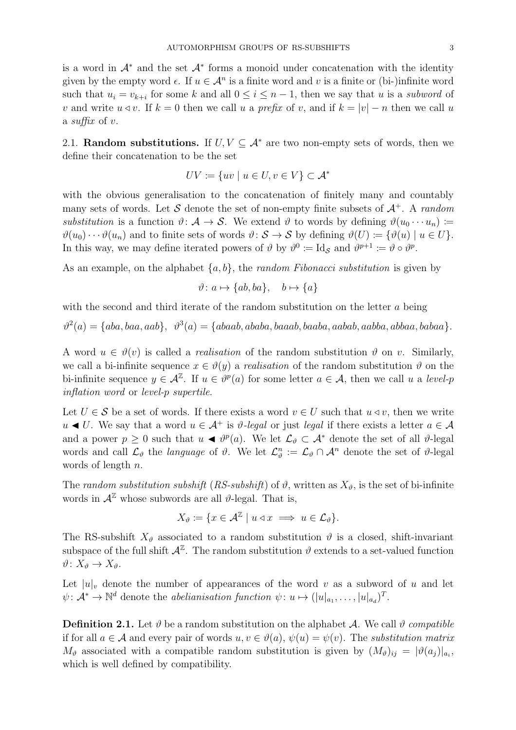is a word in  $A^*$  and the set  $A^*$  forms a monoid under concatenation with the identity given by the empty word  $\epsilon$ . If  $u \in \mathcal{A}^n$  is a finite word and v is a finite or (bi-)infinite word such that  $u_i = v_{k+i}$  for some k and all  $0 \leq i \leq n-1$ , then we say that u is a subword of v and write  $u \triangleleft v$ . If  $k = 0$  then we call u a prefix of v, and if  $k = |v| - n$  then we call u a suffix of v.

2.1. Random substitutions. If  $U, V \subseteq A^*$  are two non-empty sets of words, then we define their concatenation to be the set

$$
UV \coloneqq \{ uv \mid u \in U, v \in V \} \subset \mathcal{A}^*
$$

with the obvious generalisation to the concatenation of finitely many and countably many sets of words. Let S denote the set of non-empty finite subsets of  $A^+$ . A random substitution is a function  $\vartheta: \mathcal{A} \to \mathcal{S}$ . We extend  $\vartheta$  to words by defining  $\vartheta(u_0 \cdots u_n) :=$  $\vartheta(u_0)\cdots\vartheta(u_n)$  and to finite sets of words  $\vartheta: \mathcal{S} \to \mathcal{S}$  by defining  $\vartheta(U) \coloneqq {\vartheta(u) \mid u \in U}$ . In this way, we may define iterated powers of  $\theta$  by  $\theta^0 := \text{Id}_{\mathcal{S}}$  and  $\theta^{p+1} := \theta \circ \theta^p$ .

As an example, on the alphabet  $\{a, b\}$ , the *random Fibonacci substitution* is given by

$$
\vartheta \colon a \mapsto \{ab, ba\}, \quad b \mapsto \{a\}
$$

with the second and third iterate of the random substitution on the letter a being

 $\vartheta^2(a) = \{aba, baa, aab\}, \ \vartheta^3(a) = \{abaab, ababa, baaab, baaba, aabab, aabba, abbaa, babaa\}.$ 

A word  $u \in \vartheta(v)$  is called a *realisation* of the random substitution  $\vartheta$  on v. Similarly, we call a bi-infinite sequence  $x \in \vartheta(y)$  a *realisation* of the random substitution  $\vartheta$  on the bi-infinite sequence  $y \in \mathcal{A}^{\mathbb{Z}}$ . If  $u \in \vartheta^p(a)$  for some letter  $a \in \mathcal{A}$ , then we call u a level-p inflation word or level-p supertile.

Let  $U \in \mathcal{S}$  be a set of words. If there exists a word  $v \in U$  such that  $u \triangleleft v$ , then we write u ◭ U. We say that a word u ∈ A<sup>+</sup> is ϑ-legal or just legal if there exists a letter a ∈ A and a power  $p \geq 0$  such that  $u \blacktriangleleft \vartheta^p(a)$ . We let  $\mathcal{L}_{\vartheta} \subset \mathcal{A}^*$  denote the set of all  $\vartheta$ -legal words and call  $\mathcal{L}_{\vartheta}$  the *language* of  $\vartheta$ . We let  $\mathcal{L}_{\vartheta}^n := \mathcal{L}_{\vartheta} \cap \mathcal{A}^n$  denote the set of  $\vartheta$ -legal words of length n.

The random substitution subshift (RS-subshift) of  $\vartheta$ , written as  $X_{\vartheta}$ , is the set of bi-infinite words in  $\mathcal{A}^{\mathbb{Z}}$  whose subwords are all  $\vartheta$ -legal. That is,

$$
X_{\vartheta} \coloneqq \{ x \in \mathcal{A}^{\mathbb{Z}} \mid u \triangleleft x \implies u \in \mathcal{L}_{\vartheta} \}.
$$

The RS-subshift  $X_{\vartheta}$  associated to a random substitution  $\vartheta$  is a closed, shift-invariant subspace of the full shift  $\mathcal{A}^{\mathbb{Z}}$ . The random substitution  $\vartheta$  extends to a set-valued function  $\vartheta\colon X_{\vartheta}\to X_{\vartheta}.$ 

Let  $|u|_v$  denote the number of appearances of the word v as a subword of u and let  $\psi: \mathcal{A}^* \to \mathbb{N}^d$  denote the *abelianisation function*  $\psi: u \mapsto (|u|_{a_1}, \dots, |u|_{a_d})^T$ .

**Definition 2.1.** Let  $\vartheta$  be a random substitution on the alphabet A. We call  $\vartheta$  compatible if for all  $a \in \mathcal{A}$  and every pair of words  $u, v \in \vartheta(a), \psi(u) = \psi(v)$ . The substitution matrix  $M_{\vartheta}$  associated with a compatible random substitution is given by  $(M_{\vartheta})_{ij} = |\vartheta(a_j)|_{a_i},$ which is well defined by compatibility.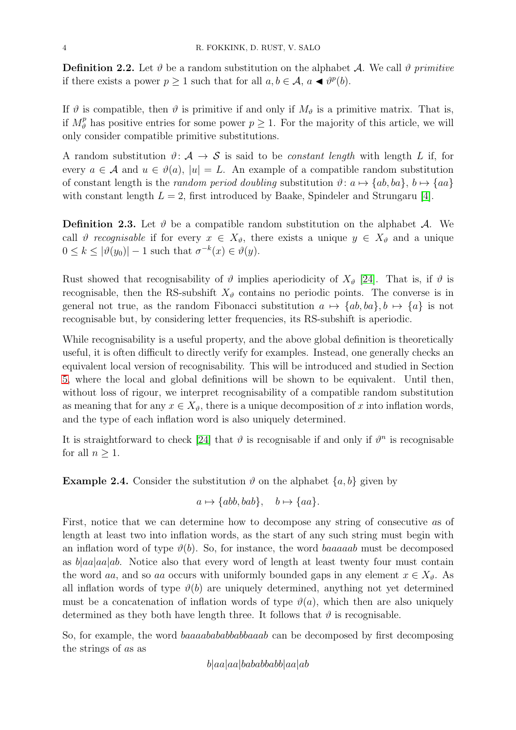**Definition 2.2.** Let  $\vartheta$  be a random substitution on the alphabet A. We call  $\vartheta$  primitive if there exists a power  $p \ge 1$  such that for all  $a, b \in \mathcal{A}, a \blacktriangleleft \theta^p(b)$ .

If  $\vartheta$  is compatible, then  $\vartheta$  is primitive if and only if  $M_{\vartheta}$  is a primitive matrix. That is, if  $M_{\vartheta}^p$  has positive entries for some power  $p \geq 1$ . For the majority of this article, we will only consider compatible primitive substitutions.

A random substitution  $\vartheta: \mathcal{A} \to \mathcal{S}$  is said to be *constant length* with length L if, for every  $a \in \mathcal{A}$  and  $u \in \vartheta(a)$ ,  $|u| = L$ . An example of a compatible random substitution of constant length is the *random period doubling* substitution  $\vartheta: a \mapsto \{ab, ba\}, b \mapsto \{aa\}$ with constant length  $L = 2$ , first introduced by Baake, Spindeler and Strungaru [\[4\]](#page-27-13).

**Definition 2.3.** Let  $\vartheta$  be a compatible random substitution on the alphabet A. We call  $\vartheta$  recognisable if for every  $x \in X_{\vartheta}$ , there exists a unique  $y \in X_{\vartheta}$  and a unique  $0 \leq k \leq |\vartheta(y_0)| - 1$  such that  $\sigma^{-k}(x) \in \vartheta(y)$ .

Rust showed that recognisability of  $\vartheta$  implies aperiodicity of  $X_{\vartheta}$  [\[24\]](#page-28-2). That is, if  $\vartheta$  is recognisable, then the RS-subshift  $X_{\vartheta}$  contains no periodic points. The converse is in general not true, as the random Fibonacci substitution  $a \mapsto \{ab, ba\}, b \mapsto \{a\}$  is not recognisable but, by considering letter frequencies, its RS-subshift is aperiodic.

While recognisability is a useful property, and the above global definition is theoretically useful, it is often difficult to directly verify for examples. Instead, one generally checks an equivalent local version of recognisability. This will be introduced and studied in Section [5,](#page-14-0) where the local and global definitions will be shown to be equivalent. Until then, without loss of rigour, we interpret recognisability of a compatible random substitution as meaning that for any  $x \in X_{\vartheta}$ , there is a unique decomposition of x into inflation words, and the type of each inflation word is also uniquely determined.

It is straightforward to check [\[24\]](#page-28-2) that  $\vartheta$  is recognisable if and only if  $\vartheta^n$  is recognisable for all  $n \geq 1$ .

**Example 2.4.** Consider the substitution  $\vartheta$  on the alphabet  $\{a, b\}$  given by

$$
a \mapsto \{abb, bab\}, \quad b \mapsto \{aa\}.
$$

First, notice that we can determine how to decompose any string of consecutive as of length at least two into inflation words, as the start of any such string must begin with an inflation word of type  $\vartheta(b)$ . So, for instance, the word baaaaab must be decomposed as  $b|aa|aa|$ . Notice also that every word of length at least twenty four must contain the word aa, and so aa occurs with uniformly bounded gaps in any element  $x \in X_{\vartheta}$ . As all inflation words of type  $\vartheta(b)$  are uniquely determined, anything not yet determined must be a concatenation of inflation words of type  $\vartheta(a)$ , which then are also uniquely determined as they both have length three. It follows that  $\vartheta$  is recognisable.

So, for example, the word baaaabababbabbaaab can be decomposed by first decomposing the strings of as as

 $b|aa|aa|babababab|aa|ab$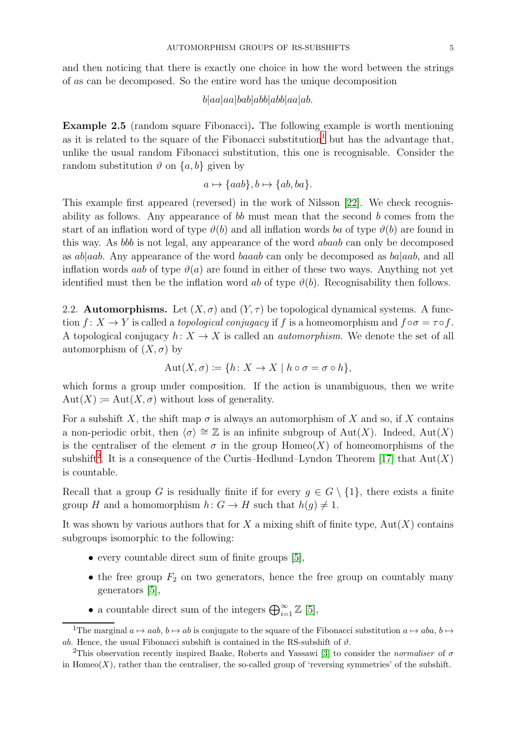and then noticing that there is exactly one choice in how the word between the strings of as can be decomposed. So the entire word has the unique decomposition

#### $b|aa|aa|bab|abb|abb|aa|ab.$

<span id="page-4-2"></span>Example 2.5 (random square Fibonacci). The following example is worth mentioning as it is related to the square of the Fibonacci substitution<sup>[1](#page-4-0)</sup> but has the advantage that, unlike the usual random Fibonacci substitution, this one is recognisable. Consider the random substitution  $\vartheta$  on  $\{a, b\}$  given by

$$
a \mapsto \{aab\}, b \mapsto \{ab, ba\}.
$$

This example first appeared (reversed) in the work of Nilsson [\[22\]](#page-28-3). We check recognisability as follows. Any appearance of  $bb$  must mean that the second b comes from the start of an inflation word of type  $\vartheta(b)$  and all inflation words ba of type  $\vartheta(b)$  are found in this way. As bbb is not legal, any appearance of the word abaab can only be decomposed as  $ab|aab$ . Any appearance of the word baaab can only be decomposed as  $ba|aab$ , and all inflation words aab of type  $\vartheta(a)$  are found in either of these two ways. Anything not yet identified must then be the inflation word ab of type  $\vartheta(b)$ . Recognisability then follows.

<span id="page-4-3"></span>2.2. **Automorphisms.** Let  $(X, \sigma)$  and  $(Y, \tau)$  be topological dynamical systems. A function  $f: X \to Y$  is called a topological conjugacy if f is a homeomorphism and  $f \circ \sigma = \tau \circ f$ . A topological conjugacy  $h: X \to X$  is called an *automorphism*. We denote the set of all automorphism of  $(X, \sigma)$  by

$$
Aut(X, \sigma) := \{ h \colon X \to X \mid h \circ \sigma = \sigma \circ h \},
$$

which forms a group under composition. If the action is unambiguous, then we write  $Aut(X) \coloneqq Aut(X, \sigma)$  without loss of generality.

For a subshift X, the shift map  $\sigma$  is always an automorphism of X and so, if X contains a non-periodic orbit, then  $\langle \sigma \rangle \cong \mathbb{Z}$  is an infinite subgroup of Aut(X). Indeed, Aut(X) is the centraliser of the element  $\sigma$  in the group Homeo(X) of homeomorphisms of the subshift<sup>[2](#page-4-1)</sup>. It is a consequence of the Curtis–Hedlund–Lyndon Theorem [\[17\]](#page-27-1) that  $Aut(X)$ is countable.

Recall that a group G is residually finite if for every  $g \in G \setminus \{1\}$ , there exists a finite group H and a homomorphism  $h: G \to H$  such that  $h(g) \neq 1$ .

It was shown by various authors that for  $X$  a mixing shift of finite type,  $Aut(X)$  contains subgroups isomorphic to the following:

- every countable direct sum of finite groups [\[5\]](#page-27-0),
- the free group  $F_2$  on two generators, hence the free group on countably many generators [\[5\]](#page-27-0),
- a countable direct sum of the integers  $\bigoplus_{i=1}^{\infty} \mathbb{Z}$  [\[5\]](#page-27-0),

<span id="page-4-0"></span><sup>&</sup>lt;sup>1</sup>The marginal  $a \mapsto aab$ ,  $b \mapsto ab$  is conjugate to the square of the Fibonacci substitution  $a \mapsto aba$ ,  $b \mapsto$ ab. Hence, the usual Fibonacci subshift is contained in the RS-subshift of  $\vartheta$ .

<span id="page-4-1"></span><sup>2</sup>This observation recently inspired Baake, Roberts and Yassawi [\[3\]](#page-27-15) to consider the *normaliser* of σ in Homeo $(X)$ , rather than the centraliser, the so-called group of 'reversing symmetries' of the subshift.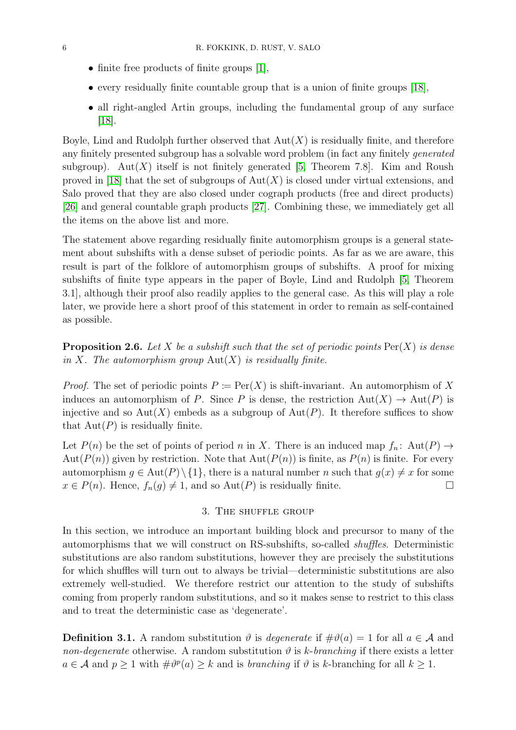- finite free products of finite groups [\[1\]](#page-27-16),
- every residually finite countable group that is a union of finite groups [\[18\]](#page-27-2),
- all right-angled Artin groups, including the fundamental group of any surface [\[18\]](#page-27-2).

Boyle, Lind and Rudolph further observed that  $Aut(X)$  is residually finite, and therefore any finitely presented subgroup has a solvable word problem (in fact any finitely generated subgroup). Aut $(X)$  itself is not finitely generated [\[5,](#page-27-0) Theorem 7.8]. Kim and Roush proved in [\[18\]](#page-27-2) that the set of subgroups of  $Aut(X)$  is closed under virtual extensions, and Salo proved that they are also closed under cograph products (free and direct products) [\[26\]](#page-28-4) and general countable graph products [\[27\]](#page-28-5). Combining these, we immediately get all the items on the above list and more.

The statement above regarding residually finite automorphism groups is a general statement about subshifts with a dense subset of periodic points. As far as we are aware, this result is part of the folklore of automorphism groups of subshifts. A proof for mixing subshifts of finite type appears in the paper of Boyle, Lind and Rudolph [\[5,](#page-27-0) Theorem 3.1], although their proof also readily applies to the general case. As this will play a role later, we provide here a short proof of this statement in order to remain as self-contained as possible.

<span id="page-5-1"></span>**Proposition 2.6.** Let X be a subshift such that the set of periodic points  $Per(X)$  is dense in X. The automorphism group  $Aut(X)$  is residually finite.

*Proof.* The set of periodic points  $P := \text{Per}(X)$  is shift-invariant. An automorphism of X induces an automorphism of P. Since P is dense, the restriction  $Aut(X) \to Aut(P)$  is injective and so  $Aut(X)$  embeds as a subgroup of  $Aut(P)$ . It therefore suffices to show that  $Aut(P)$  is residually finite.

Let  $P(n)$  be the set of points of period n in X. There is an induced map  $f_n$ : Aut $(P) \rightarrow$ Aut $(P(n))$  given by restriction. Note that  $Aut(P(n))$  is finite, as  $P(n)$  is finite. For every automorphism  $g \in Aut(P) \setminus \{1\}$ , there is a natural number n such that  $g(x) \neq x$  for some  $x \in P(n)$ . Hence,  $f_n(g) \neq 1$ , and so  $Aut(P)$  is residually finite.

## 3. The shuffle group

<span id="page-5-0"></span>In this section, we introduce an important building block and precursor to many of the automorphisms that we will construct on RS-subshifts, so-called shuffles. Deterministic substitutions are also random substitutions, however they are precisely the substitutions for which shuffles will turn out to always be trivial—deterministic substitutions are also extremely well-studied. We therefore restrict our attention to the study of subshifts coming from properly random substitutions, and so it makes sense to restrict to this class and to treat the deterministic case as 'degenerate'.

**Definition 3.1.** A random substitution  $\vartheta$  is *degenerate* if  $\#\vartheta(a) = 1$  for all  $a \in \mathcal{A}$  and non-degenerate otherwise. A random substitution  $\vartheta$  is k-branching if there exists a letter  $a \in \mathcal{A}$  and  $p \ge 1$  with  $\#\vartheta^p(a) \ge k$  and is *branching* if  $\vartheta$  is *k*-branching for all  $k \ge 1$ .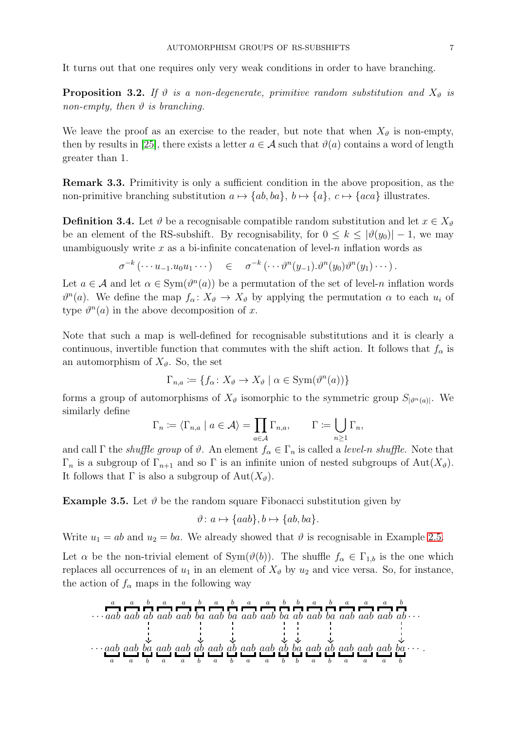It turns out that one requires only very weak conditions in order to have branching.

<span id="page-6-0"></span>**Proposition 3.2.** If  $\vartheta$  is a non-degenerate, primitive random substitution and  $X_{\vartheta}$  is non-empty, then  $\vartheta$  is branching.

We leave the proof as an exercise to the reader, but note that when  $X_{\vartheta}$  is non-empty, then by results in [\[25\]](#page-28-1), there exists a letter  $a \in \mathcal{A}$  such that  $\vartheta(a)$  contains a word of length greater than 1.

Remark 3.3. Primitivity is only a sufficient condition in the above proposition, as the non-primitive branching substitution  $a \mapsto \{ab, ba\}$ ,  $b \mapsto \{a\}$ ,  $c \mapsto \{aca\}$  illustrates.

**Definition 3.4.** Let  $\vartheta$  be a recognisable compatible random substitution and let  $x \in X_{\vartheta}$ be an element of the RS-subshift. By recognisability, for  $0 \leq k \leq |\vartheta(y_0)| - 1$ , we may unambiguously write  $x$  as a bi-infinite concatenation of level- $n$  inflation words as

$$
\sigma^{-k}(\cdots u_{-1}.u_0u_1\cdots) \quad \in \quad \sigma^{-k}(\cdots \vartheta^n(y_{-1}).\vartheta^n(y_0)\vartheta^n(y_1)\cdots).
$$

Let  $a \in \mathcal{A}$  and let  $\alpha \in \text{Sym}(\vartheta^n(a))$  be a permutation of the set of level-n inflation words  $\vartheta^{n}(a)$ . We define the map  $f_{\alpha}: X_{\vartheta} \to X_{\vartheta}$  by applying the permutation  $\alpha$  to each  $u_i$  of type  $\vartheta^{n}(a)$  in the above decomposition of x.

Note that such a map is well-defined for recognisable substitutions and it is clearly a continuous, invertible function that commutes with the shift action. It follows that  $f_{\alpha}$  is an automorphism of  $X_{\vartheta}$ . So, the set

$$
\Gamma_{n,a} := \{ f_{\alpha} \colon X_{\vartheta} \to X_{\vartheta} \mid \alpha \in \text{Sym}(\vartheta^n(a)) \}
$$

forms a group of automorphisms of  $X_{\vartheta}$  isomorphic to the symmetric group  $S_{|\vartheta^n(a)|}$ . We similarly define

$$
\Gamma_n \coloneqq \langle \Gamma_{n,a} \mid a \in \mathcal{A} \rangle = \prod_{a \in \mathcal{A}} \Gamma_{n,a}, \qquad \Gamma \coloneqq \bigcup_{n \geq 1} \Gamma_n,
$$

and call Γ the *shuffle group* of  $\vartheta$ . An element  $f_{\alpha} \in \Gamma_n$  is called a *level-n shuffle*. Note that  $\Gamma_n$  is a subgroup of  $\Gamma_{n+1}$  and so  $\Gamma$  is an infinite union of nested subgroups of Aut $(X_{\vartheta})$ . It follows that  $\Gamma$  is also a subgroup of  $Aut(X_{\vartheta}).$ 

<span id="page-6-1"></span>**Example 3.5.** Let  $\vartheta$  be the random square Fibonacci substitution given by

$$
\vartheta: a \mapsto \{aab\}, b \mapsto \{ab, ba\}.
$$

Write  $u_1 = ab$  and  $u_2 = ba$ . We already showed that  $\vartheta$  is recognisable in Example [2.5.](#page-4-2)

Let  $\alpha$  be the non-trivial element of Sym $(\vartheta(b))$ . The shuffle  $f_{\alpha} \in \Gamma_{1,b}$  is the one which replaces all occurrences of  $u_1$  in an element of  $X_{\vartheta}$  by  $u_2$  and vice versa. So, for instance, the action of  $f_{\alpha}$  maps in the following way

$$
\cdots \underbrace{a}_{ab} \underbrace{a}_{ab} \underbrace{b}_{ab} \underbrace{a}_{ab} \underbrace{a}_{ab} \underbrace{b}_{a} \underbrace{a}_{b} \underbrace{a}_{a} \underbrace{b}_{b} \underbrace{a}_{a} \underbrace{b}_{b} \underbrace{a}_{a} \underbrace{b}_{b} \underbrace{a}_{a} \underbrace{b}_{b} \underbrace{a}_{a} \underbrace{b}_{b} \underbrace{b}_{a} \underbrace{a}_{b} \underbrace{b}_{b} \underbrace{a}_{a} \underbrace{b}_{b} \underbrace{b}_{b} \underbrace{a}_{a} \underbrace{b}_{b} \underbrace{b}_{a} \underbrace{a}_{b} \underbrace{b}_{a} \underbrace{a}_{b} \underbrace{a}_{a} \underbrace{b}_{b} \underbrace{a}_{a} \underbrace{b}_{b} \underbrace{a}_{a} \underbrace{b}_{b} \underbrace{a}_{a} \underbrace{b}_{b} \underbrace{b}_{a} \underbrace{a}_{b} \underbrace{b}_{a} \underbrace{b}_{b} \underbrace{b}_{a} \underbrace{b}_{b} \underbrace{b}_{a} \underbrace{b}_{b} \underbrace{b}_{a} \underbrace{b}_{b} \underbrace{b}_{a} \underbrace{b}_{b} \underbrace{b}_{a} \underbrace{b}_{b} \underbrace{b}_{a} \underbrace{b}_{b} \underbrace{b}_{a} \underbrace{b}_{b} \underbrace{b}_{a} \underbrace{b}_{b} \underbrace{b}_{a} \underbrace{b}_{b} \underbrace{b}_{a} \underbrace{b}_{b} \underbrace{b}_{a} \underbrace{b}_{b} \underbrace{b}_{a} \underbrace{b}_{b} \underbrace{b}_{a} \underbrace{b}_{b} \underbrace{b}_{a} \underbrace{b}_{b} \underbrace{b}_{a} \underbrace{b}_{b} \underbrace{b}_{a} \underbrace{b}_{b} \underbrace{b}_{a} \underbrace{b}_{b} \underbrace{b}_{a} \underbrace{b}_{b} \underbrace{b}_{a} \underbrace{b}_{b} \underbrace{b}_{a} \underbrace{b}_{b} \underbrace{b}_{a} \underbrace{b}_{b} \underbrace{b}_{a} \underbrace{b}_{b} \underbrace{b}_{a} \underbrace{b}_{b} \underbrace{b}_{a} \underbrace{b}_{b} \underbrace{b}_{a} \underbrace{b}_{b} \underbrace{b}_{a} \underbrace{b}_{b} \underbrace{b}_{a} \underbrace{b
$$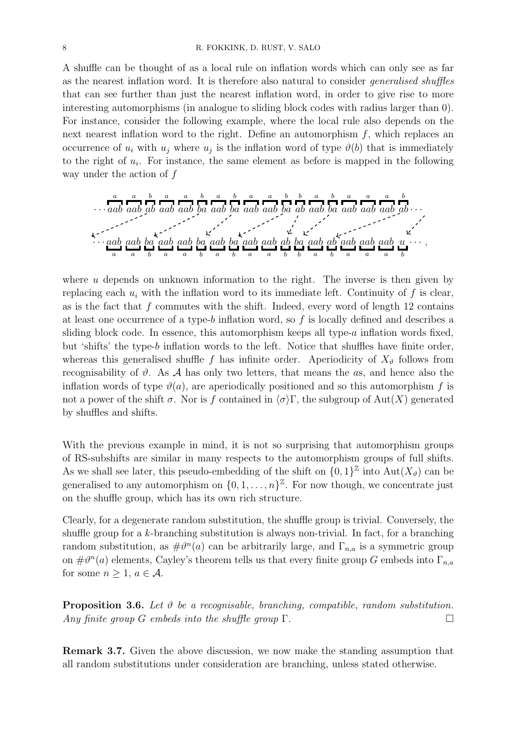A shuffle can be thought of as a local rule on inflation words which can only see as far as the nearest inflation word. It is therefore also natural to consider generalised shuffles that can see further than just the nearest inflation word, in order to give rise to more interesting automorphisms (in analogue to sliding block codes with radius larger than 0). For instance, consider the following example, where the local rule also depends on the next nearest inflation word to the right. Define an automorphism  $f$ , which replaces an occurrence of  $u_i$  with  $u_j$  where  $u_j$  is the inflation word of type  $\vartheta(b)$  that is immediately to the right of  $u_i$ . For instance, the same element as before is mapped in the following way under the action of f

· · · a aab a aab b ab a aab a aab b ba a aab b ba a aab a aab b ba b ab a aab b ba a aab a aab a aab b ab · · · · · · aab a aab a ba b aab a aab a ba b aab a ba b aab a aab a ab b ba b aab a ab b aab a aab a aab a u b · · · ,

where  $u$  depends on unknown information to the right. The inverse is then given by replacing each  $u_i$  with the inflation word to its immediate left. Continuity of f is clear, as is the fact that  $f$  commutes with the shift. Indeed, every word of length 12 contains at least one occurrence of a type-b inflation word, so f is locally defined and describes a sliding block code. In essence, this automorphism keeps all type- $a$  inflation words fixed, but 'shifts' the type-b inflation words to the left. Notice that shuffles have finite order, whereas this generalised shuffle f has infinite order. Aperiodicity of  $X_{\vartheta}$  follows from recognisability of  $\vartheta$ . As A has only two letters, that means the as, and hence also the inflation words of type  $\vartheta(a)$ , are aperiodically positioned and so this automorphism f is not a power of the shift  $\sigma$ . Nor is f contained in  $\langle \sigma \rangle \Gamma$ , the subgroup of Aut $(X)$  generated by shuffles and shifts.

With the previous example in mind, it is not so surprising that automorphism groups of RS-subshifts are similar in many respects to the automorphism groups of full shifts. As we shall see later, this pseudo-embedding of the shift on  $\{0,1\}^{\mathbb{Z}}$  into  $\text{Aut}(X_{\vartheta})$  can be generalised to any automorphism on  $\{0, 1, \ldots, n\}^{\mathbb{Z}}$ . For now though, we concentrate just on the shuffle group, which has its own rich structure.

Clearly, for a degenerate random substitution, the shuffle group is trivial. Conversely, the shuffle group for a  $k$ -branching substitution is always non-trivial. In fact, for a branching random substitution, as  $\#\theta^n(a)$  can be arbitrarily large, and  $\Gamma_{n,a}$  is a symmetric group on  $\#\vartheta^n(a)$  elements, Cayley's theorem tells us that every finite group G embeds into  $\Gamma_{n,a}$ for some  $n > 1$ ,  $a \in \mathcal{A}$ .

**Proposition 3.6.** Let  $\vartheta$  be a recognisable, branching, compatible, random substitution. Any finite group G embeds into the shuffle group  $\Gamma$ .

Remark 3.7. Given the above discussion, we now make the standing assumption that all random substitutions under consideration are branching, unless stated otherwise.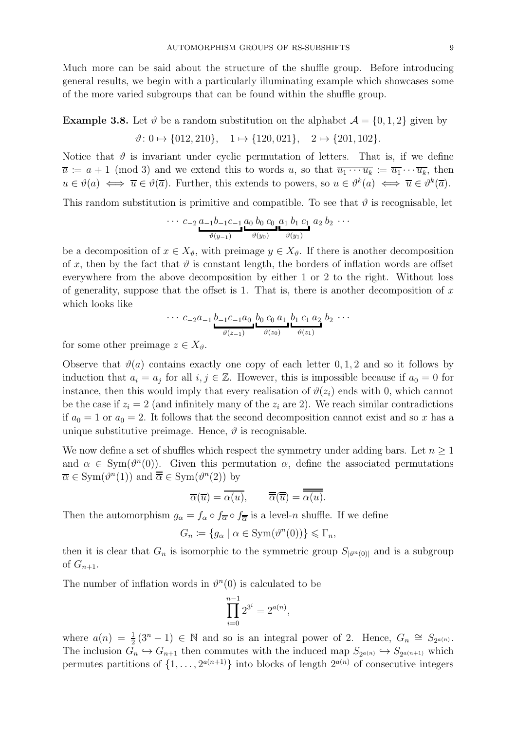Much more can be said about the structure of the shuffle group. Before introducing general results, we begin with a particularly illuminating example which showcases some of the more varied subgroups that can be found within the shuffle group.

<span id="page-8-0"></span>**Example 3.8.** Let  $\vartheta$  be a random substitution on the alphabet  $\mathcal{A} = \{0, 1, 2\}$  given by  $\vartheta: 0 \mapsto \{012, 210\}, \quad 1 \mapsto \{120, 021\}, \quad 2 \mapsto \{201, 102\}.$ 

Notice that  $\vartheta$  is invariant under cyclic permutation of letters. That is, if we define  $\overline{a} := a + 1 \pmod{3}$  and we extend this to words u, so that  $\overline{u_1 \cdots u_k} := \overline{u_1} \cdots \overline{u_k}$ , then  $u \in \vartheta(a) \iff \overline{u} \in \vartheta(\overline{a})$ . Further, this extends to powers, so  $u \in \vartheta^k(a) \iff \overline{u} \in \vartheta^k(\overline{a})$ .

This random substitution is primitive and compatible. To see that  $\vartheta$  is recognisable, let

$$
\cdots c_{-2} a_{-1} b_{-1} c_{-1} a_0 b_0 c_0 a_1 b_1 c_1 a_2 b_2 \cdots \n \underbrace{\qquad \qquad }_{\vartheta(y_{-1})}
$$

be a decomposition of  $x \in X_{\vartheta}$ , with preimage  $y \in X_{\vartheta}$ . If there is another decomposition of x, then by the fact that  $\vartheta$  is constant length, the borders of inflation words are offset everywhere from the above decomposition by either 1 or 2 to the right. Without loss of generality, suppose that the offset is 1. That is, there is another decomposition of  $x$ which looks like

$$
\cdots c_{-2}a_{-1} \underbrace{b_{-1}c_{-1}a_0}_{\vartheta(z_{-1})} \underbrace{b_0 c_0 a_1}_{\vartheta(z_0)} \underbrace{b_1 c_1 a_2}_{\vartheta(z_1)} b_2 \cdots
$$

for some other preimage  $z \in X_{\vartheta}$ .

Observe that  $\vartheta(a)$  contains exactly one copy of each letter  $0, 1, 2$  and so it follows by induction that  $a_i = a_j$  for all  $i, j \in \mathbb{Z}$ . However, this is impossible because if  $a_0 = 0$  for instance, then this would imply that every realisation of  $\vartheta(z_i)$  ends with 0, which cannot be the case if  $z_i = 2$  (and infinitely many of the  $z_i$  are 2). We reach similar contradictions if  $a_0 = 1$  or  $a_0 = 2$ . It follows that the second decomposition cannot exist and so x has a unique substitutive preimage. Hence,  $\vartheta$  is recognisable.

We now define a set of shuffles which respect the symmetry under adding bars. Let  $n \geq 1$ and  $\alpha \in \text{Sym}(\vartheta^n(0))$ . Given this permutation  $\alpha$ , define the associated permutations  $\overline{\alpha} \in \text{Sym}(\vartheta^n(1))$  and  $\overline{\overline{\alpha}} \in \text{Sym}(\vartheta^n(2))$  by

$$
\overline{\alpha}(\overline{u}) = \overline{\alpha(u)}, \qquad \overline{\overline{\alpha}}(\overline{\overline{u}}) = \overline{\overline{\alpha(u)}}.
$$

Then the automorphism  $g_{\alpha} = f_{\alpha} \circ f_{\overline{\alpha}} \circ f_{\overline{\alpha}}$  is a level-*n* shuffle. If we define

$$
G_n \coloneqq \{ g_\alpha \mid \alpha \in \text{Sym}(\vartheta^n(0)) \} \leq \Gamma_n,
$$

then it is clear that  $G_n$  is isomorphic to the symmetric group  $S_{|\vartheta^n(0)|}$  and is a subgroup of  $G_{n+1}$ .

The number of inflation words in  $\vartheta^{n}(0)$  is calculated to be

$$
\prod_{i=0}^{n-1} 2^{3^i} = 2^{a(n)},
$$

where  $a(n) = \frac{1}{2}(3^n - 1) \in \mathbb{N}$  and so is an integral power of 2. Hence,  $G_n \cong S_{2^{a(n)}}$ . The inclusion  $G_n \hookrightarrow G_{n+1}$  then commutes with the induced map  $S_{2^{a(n)}} \hookrightarrow S_{2^{a(n+1)}}$  which permutes partitions of  $\{1, \ldots, 2^{a(n+1)}\}$  into blocks of length  $2^{a(n)}$  of consecutive integers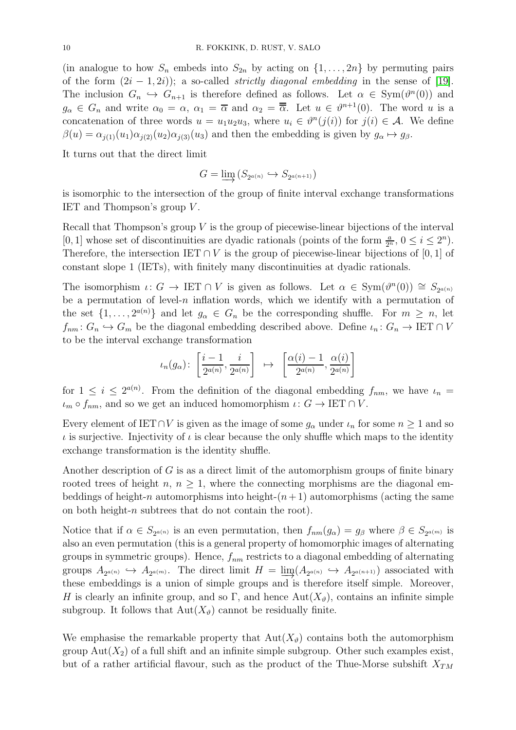(in analogue to how  $S_n$  embeds into  $S_{2n}$  by acting on  $\{1,\ldots,2n\}$  by permuting pairs of the form  $(2i - 1, 2i)$ ; a so-called *strictly diagonal embedding* in the sense of [\[19\]](#page-27-17). The inclusion  $G_n \hookrightarrow G_{n+1}$  is therefore defined as follows. Let  $\alpha \in \text{Sym}(\vartheta^n(0))$  and  $g_{\alpha} \in G_n$  and write  $\alpha_0 = \alpha$ ,  $\alpha_1 = \overline{\alpha}$  and  $\alpha_2 = \overline{\overline{\alpha}}$ . Let  $u \in \vartheta^{n+1}(0)$ . The word u is a concatenation of three words  $u = u_1 u_2 u_3$ , where  $u_i \in \vartheta^n(j(i))$  for  $j(i) \in \mathcal{A}$ . We define  $\beta(u) = \alpha_{i(1)}(u_1)\alpha_{i(2)}(u_2)\alpha_{i(3)}(u_3)$  and then the embedding is given by  $g_\alpha \mapsto g_\beta$ .

It turns out that the direct limit

$$
G = \varinjlim \left( S_{2^{a(n)}} \hookrightarrow S_{2^{a(n+1)}} \right)
$$

is isomorphic to the intersection of the group of finite interval exchange transformations IET and Thompson's group V .

Recall that Thompson's group  $V$  is the group of piecewise-linear bijections of the interval [0, 1] whose set of discontinuities are dyadic rationals (points of the form  $\frac{a}{2^n}$ ,  $0 \le i \le 2^n$ ). Therefore, the intersection IET  $\cap V$  is the group of piecewise-linear bijections of [0, 1] of constant slope 1 (IETs), with finitely many discontinuities at dyadic rationals.

The isomorphism  $\iota: G \to \operatorname{IET} \cap V$  is given as follows. Let  $\alpha \in \operatorname{Sym}(\vartheta^n(0)) \cong S_{2^{a(n)}}$ be a permutation of level-n inflation words, which we identify with a permutation of the set  $\{1, \ldots, 2^{a(n)}\}$  and let  $g_{\alpha} \in G_n$  be the corresponding shuffle. For  $m \geq n$ , let  $f_{nm}$ :  $G_n \hookrightarrow G_m$  be the diagonal embedding described above. Define  $\iota_n: G_n \to \text{IET} \cap V$ to be the interval exchange transformation

$$
\iota_n(g_\alpha)\colon \left[\frac{i-1}{2^{a(n)}},\frac{i}{2^{a(n)}}\right]\ \mapsto\ \left[\frac{\alpha(i)-1}{2^{a(n)}},\frac{\alpha(i)}{2^{a(n)}}\right]
$$

for  $1 \leq i \leq 2^{a(n)}$ . From the definition of the diagonal embedding  $f_{nm}$ , we have  $\iota_n =$  $\iota_m \circ f_{nm}$ , and so we get an induced homomorphism  $\iota: G \to \operatorname{IET} \cap V$ .

Every element of IET∩V is given as the image of some  $g_{\alpha}$  under  $\iota_n$  for some  $n \geq 1$  and so  $\iota$  is surjective. Injectivity of  $\iota$  is clear because the only shuffle which maps to the identity exchange transformation is the identity shuffle.

Another description of  $G$  is as a direct limit of the automorphism groups of finite binary rooted trees of height n,  $n \geq 1$ , where the connecting morphisms are the diagonal embeddings of height-n automorphisms into height- $(n+1)$  automorphisms (acting the same on both height-n subtrees that do not contain the root).

Notice that if  $\alpha \in S_{2^{a(n)}}$  is an even permutation, then  $f_{nm}(g_{\alpha}) = g_{\beta}$  where  $\beta \in S_{2^{a(m)}}$  is also an even permutation (this is a general property of homomorphic images of alternating groups in symmetric groups). Hence,  $f_{nm}$  restricts to a diagonal embedding of alternating groups  $A_{2^{a(n)}} \hookrightarrow A_{2^{a(m)}}$ . The direct limit  $H = \lim_{n \to \infty} (A_{2^{a(n)}} \hookrightarrow A_{2^{a(n+1)}})$  associated with these embeddings is a union of simple groups and is therefore itself simple. Moreover, H is clearly an infinite group, and so  $\Gamma$ , and hence Aut $(X_{\vartheta})$ , contains an infinite simple subgroup. It follows that  $Aut(X_{\vartheta})$  cannot be residually finite.

We emphasise the remarkable property that  $Aut(X_{\vartheta})$  contains both the automorphism group  $Aut(X_2)$  of a full shift and an infinite simple subgroup. Other such examples exist, but of a rather artificial flavour, such as the product of the Thue-Morse subshift  $X_{TM}$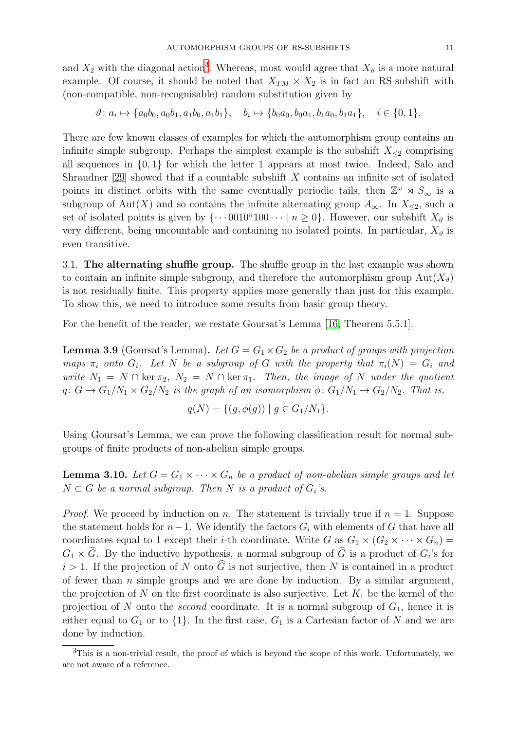and  $X_2$  with the diagonal action<sup>[3](#page-10-0)</sup>. Whereas, most would agree that  $X_{\vartheta}$  is a more natural example. Of course, it should be noted that  $X_{TM} \times X_2$  is in fact an RS-subshift with (non-compatible, non-recognisable) random substitution given by

$$
\vartheta: a_i \mapsto \{a_0b_0, a_0b_1, a_1b_0, a_1b_1\}, \quad b_i \mapsto \{b_0a_0, b_0a_1, b_1a_0, b_1a_1\}, \quad i \in \{0, 1\}.
$$

There are few known classes of examples for which the automorphism group contains an infinite simple subgroup. Perhaps the simplest example is the subshift  $X_{\leq 2}$  comprising all sequences in {0, 1} for which the letter 1 appears at most twice. Indeed, Salo and Shraudner [\[29\]](#page-28-6) showed that if a countable subshift X contains an infinite set of isolated points in distinct orbits with the same eventually periodic tails, then  $\mathbb{Z}^{\omega} \rtimes S_{\infty}$  is a subgroup of Aut(X) and so contains the infinite alternating group  $A_{\infty}$ . In  $X_{\leq 2}$ , such a set of isolated points is given by  $\{\cdots 0010^n100 \cdots \mid n \ge 0\}$ . However, our subshift  $X_{\vartheta}$  is very different, being uncountable and containing no isolated points. In particular,  $X_{\vartheta}$  is even transitive.

3.1. The alternating shuffle group. The shuffle group in the last example was shown to contain an infinite simple subgroup, and therefore the automorphism group  $Aut(X_{\vartheta})$ is not residually finite. This property applies more generally than just for this example. To show this, we need to introduce some results from basic group theory.

For the benefit of the reader, we restate Goursat's Lemma [\[16,](#page-27-18) Theorem 5.5.1].

**Lemma 3.9** (Goursat's Lemma). Let  $G = G_1 \times G_2$  be a product of groups with projection maps  $\pi_i$  onto  $G_i$ . Let N be a subgroup of G with the property that  $\pi_i(N) = G_i$  and write  $N_1 = N \cap \ker \pi_2$ ,  $N_2 = N \cap \ker \pi_1$ . Then, the image of N under the quotient  $q: G \to G_1/N_1 \times G_2/N_2$  is the graph of an isomorphism  $\phi: G_1/N_1 \to G_2/N_2$ . That is,

$$
q(N) = \{ (g, \phi(g)) \mid g \in G_1/N_1 \}.
$$

Using Goursat's Lemma, we can prove the following classification result for normal subgroups of finite products of non-abelian simple groups.

<span id="page-10-1"></span>**Lemma 3.10.** Let  $G = G_1 \times \cdots \times G_n$  be a product of non-abelian simple groups and let  $N \subset G$  be a normal subgroup. Then N is a product of  $G_i$ 's.

*Proof.* We proceed by induction on n. The statement is trivially true if  $n = 1$ . Suppose the statement holds for  $n-1$ . We identify the factors  $G_i$  with elements of G that have all coordinates equal to 1 except their *i*-th coordinate. Write G as  $G_1 \times (G_2 \times \cdots \times G_n)$  $G_1 \times G$ . By the inductive hypothesis, a normal subgroup of G is a product of  $G_i$ 's for  $i > 1$ . If the projection of N onto  $\widehat{G}$  is not surjective, then N is contained in a product of fewer than  $n$  simple groups and we are done by induction. By a similar argument, the projection of N on the first coordinate is also surjective. Let  $K_1$  be the kernel of the projection of N onto the *second* coordinate. It is a normal subgroup of  $G_1$ , hence it is either equal to  $G_1$  or to  $\{1\}$ . In the first case,  $G_1$  is a Cartesian factor of N and we are done by induction.

<span id="page-10-0"></span> $3$ This is a non-trivial result, the proof of which is beyond the scope of this work. Unfortunately, we are not aware of a reference.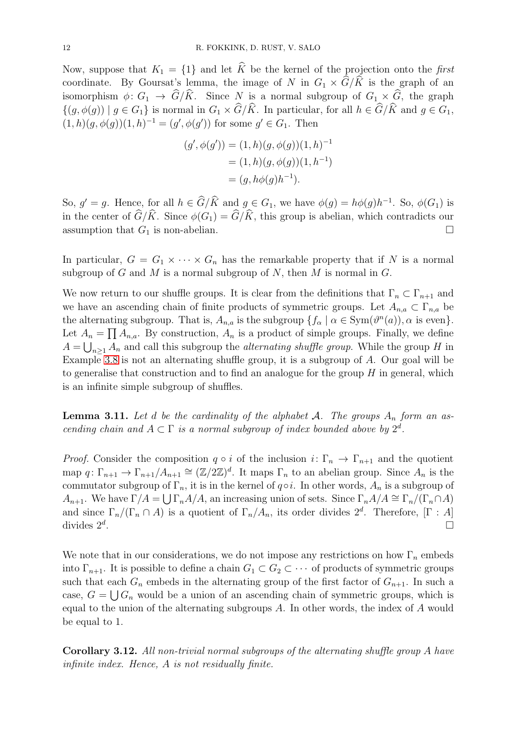Now, suppose that  $K_1 = \{1\}$  and let K be the kernel of the projection onto the first coordinate. By Goursat's lemma, the image of N in  $G_1 \times \hat{G}/\hat{K}$  is the graph of an isomorphism  $\phi: G_1 \to \widehat{G}/\widehat{K}$ . Since N is a normal subgroup of  $G_1 \times \widehat{G}$ , the graph  $\{(q, \phi(q)) \mid g \in G_1\}$  is normal in  $G_1 \times \widehat{G}/\widehat{K}$ . In particular, for all  $h \in \widehat{G}/\widehat{K}$  and  $g \in G_1$ ,  $(1,h)(g,\phi(g))(1,h)^{-1} = (g',\phi(g'))$  for some  $g' \in G_1$ . Then

$$
(g', \phi(g')) = (1, h)(g, \phi(g))(1, h)^{-1}
$$
  
= (1, h)(g, \phi(g))(1, h<sup>-1</sup>)  
= (g, h\phi(g)h<sup>-1</sup>).

So,  $g' = g$ . Hence, for all  $h \in \hat{G}/\hat{K}$  and  $g \in G_1$ , we have  $\phi(g) = h\phi(g)h^{-1}$ . So,  $\phi(G_1)$  is in the center of  $\widehat{G}/\widehat{K}$ . Since  $\phi(G_1) = \widehat{G}/\widehat{K}$ , this group is abelian, which contradicts our assumption that  $G_1$  is non-abelian.

In particular,  $G = G_1 \times \cdots \times G_n$  has the remarkable property that if N is a normal subgroup of G and M is a normal subgroup of N, then M is normal in  $G$ .

We now return to our shuffle groups. It is clear from the definitions that  $\Gamma_n \subset \Gamma_{n+1}$  and we have an ascending chain of finite products of symmetric groups. Let  $A_{n,a} \subset \Gamma_{n,a}$  be the alternating subgroup. That is,  $A_{n,a}$  is the subgroup  $\{f_\alpha \mid \alpha \in \text{Sym}(\vartheta^n(a)), \alpha \text{ is even}\}.$ Let  $A_n = \prod A_{n,a}$ . By construction,  $A_n$  is a product of simple groups. Finally, we define  $A = \bigcup_{n \geq 1} A_n$  and call this subgroup the *alternating shuffle group*. While the group H in Example [3.8](#page-8-0) is not an alternating shuffle group, it is a subgroup of A. Our goal will be to generalise that construction and to find an analogue for the group  $H$  in general, which is an infinite simple subgroup of shuffles.

**Lemma 3.11.** Let d be the cardinality of the alphabet A. The groups  $A_n$  form an ascending chain and  $A \subset \Gamma$  is a normal subgroup of index bounded above by  $2^d$ .

*Proof.* Consider the composition  $q \circ i$  of the inclusion  $i: \Gamma_n \to \Gamma_{n+1}$  and the quotient map  $q: \Gamma_{n+1} \to \Gamma_{n+1}/A_{n+1} \cong (\mathbb{Z}/2\mathbb{Z})^d$ . It maps  $\Gamma_n$  to an abelian group. Since  $A_n$  is the commutator subgroup of  $\Gamma_n$ , it is in the kernel of  $q \circ i$ . In other words,  $A_n$  is a subgroup of  $A_{n+1}$ . We have  $\Gamma/A = \bigcup \Gamma_n A/A$ , an increasing union of sets. Since  $\Gamma_n A/A \cong \Gamma_n/(\Gamma_n \cap A)$ and since  $\Gamma_n/(\Gamma_n \cap A)$  is a quotient of  $\Gamma_n/A_n$ , its order divides  $2^d$ . Therefore,  $[\Gamma : A]$ divides  $2^d$ . .

We note that in our considerations, we do not impose any restrictions on how  $\Gamma_n$  embeds into  $\Gamma_{n+1}$ . It is possible to define a chain  $G_1 \subset G_2 \subset \cdots$  of products of symmetric groups such that each  $G_n$  embeds in the alternating group of the first factor of  $G_{n+1}$ . In such a case,  $G = \bigcup G_n$  would be a union of an ascending chain of symmetric groups, which is equal to the union of the alternating subgroups A. In other words, the index of A would be equal to 1.

Corollary 3.12. All non-trivial normal subgroups of the alternating shuffle group A have infinite index. Hence, A is not residually finite.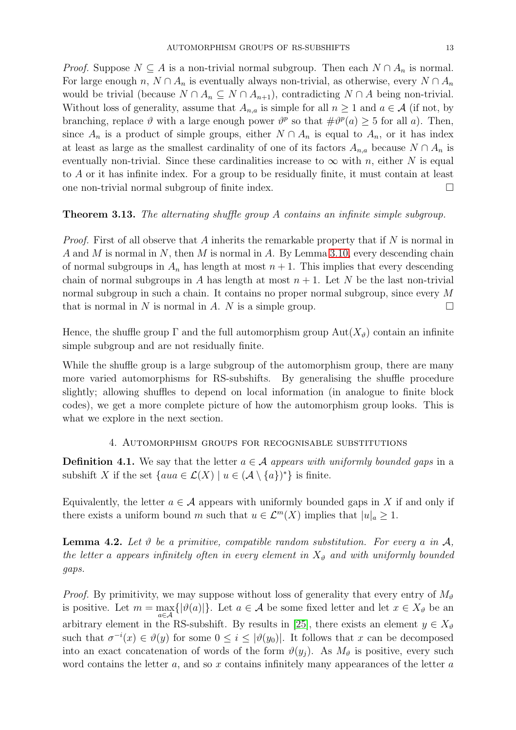*Proof.* Suppose  $N \subseteq A$  is a non-trivial normal subgroup. Then each  $N \cap A_n$  is normal. For large enough n,  $N \cap A_n$  is eventually always non-trivial, as otherwise, every  $N \cap A_n$ would be trivial (because  $N \cap A_n \subseteq N \cap A_{n+1}$ ), contradicting  $N \cap A$  being non-trivial. Without loss of generality, assume that  $A_{n,a}$  is simple for all  $n \geq 1$  and  $a \in \mathcal{A}$  (if not, by branching, replace  $\vartheta$  with a large enough power  $\vartheta^p$  so that  $\#\vartheta^p(a) \geq 5$  for all a). Then, since  $A_n$  is a product of simple groups, either  $N \cap A_n$  is equal to  $A_n$ , or it has index at least as large as the smallest cardinality of one of its factors  $A_{n,a}$  because  $N \cap A_n$  is eventually non-trivial. Since these cardinalities increase to  $\infty$  with n, either N is equal to A or it has infinite index. For a group to be residually finite, it must contain at least one non-trivial normal subgroup of finite index.

<span id="page-12-0"></span>Theorem 3.13. The alternating shuffle group A contains an infinite simple subgroup.

*Proof.* First of all observe that A inherits the remarkable property that if  $N$  is normal in A and M is normal in N, then M is normal in A. By Lemma [3.10,](#page-10-1) every descending chain of normal subgroups in  $A_n$  has length at most  $n + 1$ . This implies that every descending chain of normal subgroups in A has length at most  $n + 1$ . Let N be the last non-trivial normal subgroup in such a chain. It contains no proper normal subgroup, since every M that is normal in N is normal in A. N is a simple group.  $\square$ 

Hence, the shuffle group  $\Gamma$  and the full automorphism group  $Aut(X_{\vartheta})$  contain an infinite simple subgroup and are not residually finite.

While the shuffle group is a large subgroup of the automorphism group, there are many more varied automorphisms for RS-subshifts. By generalising the shuffle procedure slightly; allowing shuffles to depend on local information (in analogue to finite block codes), we get a more complete picture of how the automorphism group looks. This is what we explore in the next section.

4. Automorphism groups for recognisable substitutions

<span id="page-12-1"></span>**Definition 4.1.** We say that the letter  $a \in \mathcal{A}$  appears with uniformly bounded gaps in a subshift X if the set  $\{aua \in \mathcal{L}(X) \mid u \in (\mathcal{A} \setminus \{a\})^*\}$  is finite.

Equivalently, the letter  $a \in \mathcal{A}$  appears with uniformly bounded gaps in X if and only if there exists a uniform bound m such that  $u \in \mathcal{L}^m(X)$  implies that  $|u|_a \geq 1$ .

<span id="page-12-2"></span>**Lemma 4.2.** Let  $\vartheta$  be a primitive, compatible random substitution. For every a in  $\mathcal{A}$ , the letter a appears infinitely often in every element in  $X_{\vartheta}$  and with uniformly bounded gaps.

*Proof.* By primitivity, we may suppose without loss of generality that every entry of  $M_{\vartheta}$ is positive. Let  $m = \max_{a \in \mathcal{A}} \{ |\vartheta(a)| \}$ . Let  $a \in \mathcal{A}$  be some fixed letter and let  $x \in X_{\vartheta}$  be an arbitrary element in the RS-subshift. By results in [\[25\]](#page-28-1), there exists an element  $y \in X_{\vartheta}$ such that  $\sigma^{-i}(x) \in \vartheta(y)$  for some  $0 \leq i \leq |\vartheta(y_0)|$ . It follows that x can be decomposed into an exact concatenation of words of the form  $\vartheta(y_i)$ . As  $M_{\vartheta}$  is positive, every such word contains the letter  $a$ , and so  $x$  contains infinitely many appearances of the letter  $a$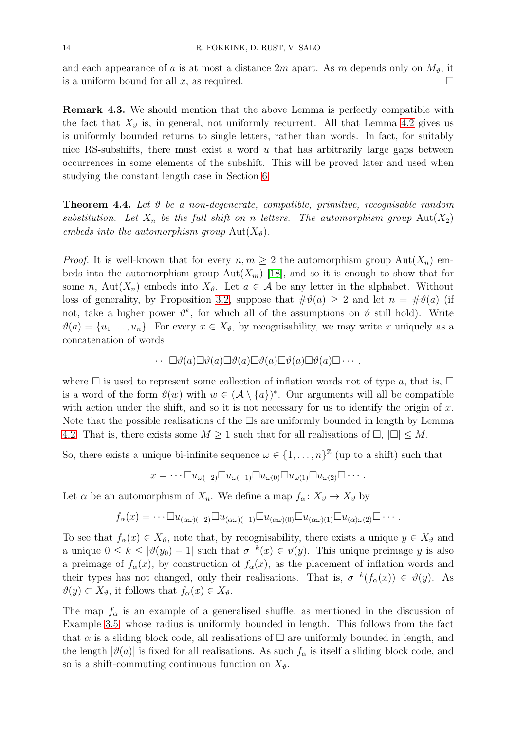and each appearance of a is at most a distance 2m apart. As m depends only on  $M_{\vartheta}$ , it is a uniform bound for all x, as required.  $\square$ 

Remark 4.3. We should mention that the above Lemma is perfectly compatible with the fact that  $X_{\vartheta}$  is, in general, not uniformly recurrent. All that Lemma [4.2](#page-12-2) gives us is uniformly bounded returns to single letters, rather than words. In fact, for suitably nice RS-subshifts, there must exist a word  $u$  that has arbitrarily large gaps between occurrences in some elements of the subshift. This will be proved later and used when studying the constant length case in Section [6.](#page-17-0)

<span id="page-13-0"></span>**Theorem 4.4.** Let  $\vartheta$  be a non-degenerate, compatible, primitive, recognisable random substitution. Let  $X_n$  be the full shift on n letters. The automorphism group  $Aut(X_2)$ embeds into the automorphism group  $Aut(X_{\vartheta}).$ 

*Proof.* It is well-known that for every  $n, m \geq 2$  the automorphism group  $\text{Aut}(X_n)$  embeds into the automorphism group  $Aut(X_m)$  [\[18\]](#page-27-2), and so it is enough to show that for some n, Aut $(X_n)$  embeds into  $X_{\vartheta}$ . Let  $a \in \mathcal{A}$  be any letter in the alphabet. Without loss of generality, by Proposition [3.2,](#page-6-0) suppose that  $\#\vartheta(a) \geq 2$  and let  $n = \#\vartheta(a)$  (if not, take a higher power  $\vartheta^k$ , for which all of the assumptions on  $\vartheta$  still hold). Write  $\vartheta(a) = \{u_1, \ldots, u_n\}$ . For every  $x \in X_{\vartheta}$ , by recognisability, we may write x uniquely as a concatenation of words

$$
\cdots \Box \vartheta(a) \Box \vartheta(a) \Box \vartheta(a) \Box \vartheta(a) \Box \vartheta(a) \Box \vartheta(a) \Box \cdots,
$$

where  $\Box$  is used to represent some collection of inflation words not of type a, that is,  $\Box$ is a word of the form  $\vartheta(w)$  with  $w \in (\mathcal{A} \setminus \{a\})^*$ . Our arguments will all be compatible with action under the shift, and so it is not necessary for us to identify the origin of  $x$ . Note that the possible realisations of the  $\Box s$  are uniformly bounded in length by Lemma [4.2.](#page-12-2) That is, there exists some  $M \geq 1$  such that for all realisations of  $\Box$ ,  $|\Box| \leq M$ .

So, there exists a unique bi-infinite sequence  $\omega \in \{1, \ldots, n\}^{\mathbb{Z}}$  (up to a shift) such that

$$
x = \cdots \Box u_{\omega(-2)} \Box u_{\omega(-1)} \Box u_{\omega(0)} \Box u_{\omega(1)} \Box u_{\omega(2)} \Box \cdots.
$$

Let  $\alpha$  be an automorphism of  $X_n$ . We define a map  $f_{\alpha}: X_{\vartheta} \to X_{\vartheta}$  by

$$
f_{\alpha}(x) = \cdots \Box u_{(\alpha \omega)(-2)} \Box u_{(\alpha \omega)(-1)} \Box u_{(\alpha \omega)(0)} \Box u_{(\alpha \omega)(1)} \Box u_{(\alpha) \omega(2)} \Box \cdots
$$

To see that  $f_{\alpha}(x) \in X_{\vartheta}$ , note that, by recognisability, there exists a unique  $y \in X_{\vartheta}$  and a unique  $0 \leq k \leq |\vartheta(y_0) - 1|$  such that  $\sigma^{-k}(x) \in \vartheta(y)$ . This unique preimage y is also a preimage of  $f_{\alpha}(x)$ , by construction of  $f_{\alpha}(x)$ , as the placement of inflation words and their types has not changed, only their realisations. That is,  $\sigma^{-k}(f_{\alpha}(x)) \in \vartheta(y)$ . As  $\vartheta(y) \subset X_{\vartheta}$ , it follows that  $f_{\alpha}(x) \in X_{\vartheta}$ .

The map  $f_{\alpha}$  is an example of a generalised shuffle, as mentioned in the discussion of Example [3.5,](#page-6-1) whose radius is uniformly bounded in length. This follows from the fact that  $\alpha$  is a sliding block code, all realisations of  $\Box$  are uniformly bounded in length, and the length  $|\vartheta(a)|$  is fixed for all realisations. As such  $f_{\alpha}$  is itself a sliding block code, and so is a shift-commuting continuous function on  $X_{\vartheta}$ .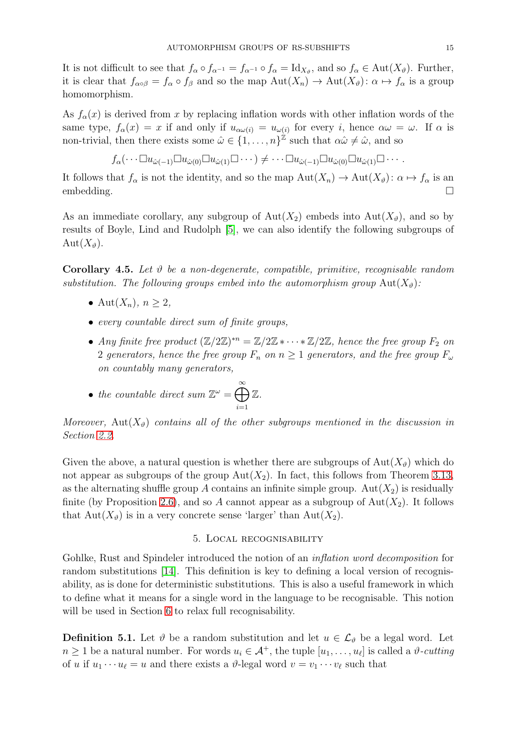It is not difficult to see that  $f_{\alpha} \circ f_{\alpha^{-1}} = f_{\alpha^{-1}} \circ f_{\alpha} = \mathrm{Id}_{X_{\vartheta}}$ , and so  $f_{\alpha} \in \mathrm{Aut}(X_{\vartheta})$ . Further, it is clear that  $f_{\alpha \circ \beta} = f_{\alpha} \circ f_{\beta}$  and so the map  $Aut(X_n) \to Aut(X_{\vartheta}) : \alpha \mapsto f_{\alpha}$  is a group homomorphism.

As  $f_{\alpha}(x)$  is derived from x by replacing inflation words with other inflation words of the same type,  $f_{\alpha}(x) = x$  if and only if  $u_{\alpha\omega(i)} = u_{\omega(i)}$  for every i, hence  $\alpha\omega = \omega$ . If  $\alpha$  is non-trivial, then there exists some  $\hat{\omega} \in \{1, \ldots, n\}^{\mathbb{Z}}$  such that  $\alpha \hat{\omega} \neq \hat{\omega}$ , and so

$$
f_{\alpha}(\cdots \Box u_{\hat{\omega}(-1)}\Box u_{\hat{\omega}(0)}\Box u_{\hat{\omega}(1)}\Box \cdots) \neq \cdots \Box u_{\hat{\omega}(-1)}\Box u_{\hat{\omega}(0)}\Box u_{\hat{\omega}(1)}\Box \cdots.
$$

It follows that  $f_{\alpha}$  is not the identity, and so the map  $\text{Aut}(X_n) \to \text{Aut}(X_{\vartheta})$ :  $\alpha \mapsto f_{\alpha}$  is an embedding.

As an immediate corollary, any subgroup of  $Aut(X_2)$  embeds into  $Aut(X_3)$ , and so by results of Boyle, Lind and Rudolph [\[5\]](#page-27-0), we can also identify the following subgroups of  $Aut(X_{\theta}).$ 

**Corollary 4.5.** Let  $\vartheta$  be a non-degenerate, compatible, primitive, recognisable random substitution. The following groups embed into the automorphism group  $Aut(X_{\vartheta})$ :

- Aut $(X_n)$ ,  $n \geq 2$ ,
- every countable direct sum of finite groups,
- Any finite free product  $(\mathbb{Z}/2\mathbb{Z})^{*n} = \mathbb{Z}/2\mathbb{Z} * \cdots * \mathbb{Z}/2\mathbb{Z}$ , hence the free group  $F_2$  on 2 generators, hence the free group  $F_n$  on  $n \geq 1$  generators, and the free group  $F_\omega$ on countably many generators,

• the countable direct sum 
$$
\mathbb{Z}^{\omega} = \bigoplus_{i=1}^{\infty} \mathbb{Z}
$$
.

Moreover,  $Aut(X_{\theta})$  contains all of the other subgroups mentioned in the discussion in Section [2.2.](#page-4-3)

Given the above, a natural question is whether there are subgroups of  $Aut(X_{\theta})$  which do not appear as subgroups of the group  $Aut(X_2)$ . In fact, this follows from Theorem [3.13,](#page-12-0) as the alternating shuffle group A contains an infinite simple group. Aut $(X_2)$  is residually finite (by Proposition [2.6\)](#page-5-1), and so A cannot appear as a subgroup of  $Aut(X_2)$ . It follows that  $Aut(X_{\vartheta})$  is in a very concrete sense 'larger' than  $Aut(X_2)$ .

#### 5. Local recognisability

<span id="page-14-0"></span>Gohlke, Rust and Spindeler introduced the notion of an *inflation word decomposition* for random substitutions [\[14\]](#page-27-14). This definition is key to defining a local version of recognisability, as is done for deterministic substitutions. This is also a useful framework in which to define what it means for a single word in the language to be recognisable. This notion will be used in Section [6](#page-17-0) to relax full recognisability.

**Definition 5.1.** Let  $\vartheta$  be a random substitution and let  $u \in \mathcal{L}_{\vartheta}$  be a legal word. Let  $n \geq 1$  be a natural number. For words  $u_i \in \mathcal{A}^+$ , the tuple  $[u_1, \ldots, u_\ell]$  is called a  $\vartheta$ -cutting of u if  $u_1 \cdots u_\ell = u$  and there exists a  $\vartheta$ -legal word  $v = v_1 \cdots v_\ell$  such that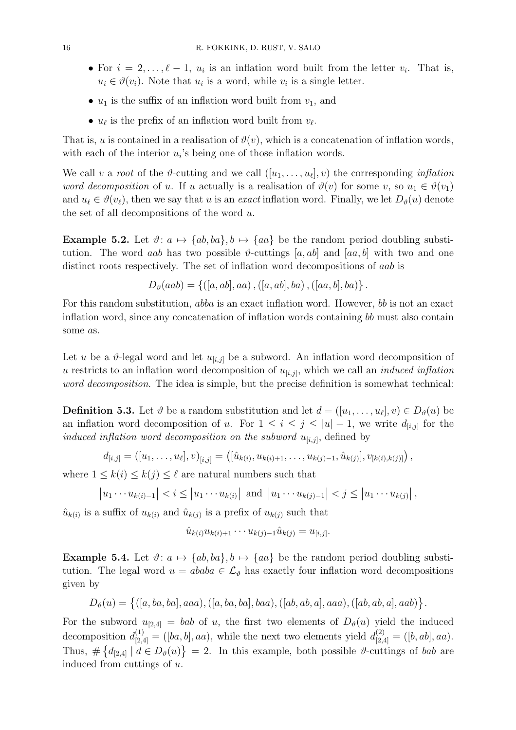- For  $i = 2, \ldots, \ell 1$ ,  $u_i$  is an inflation word built from the letter  $v_i$ . That is,  $u_i \in \vartheta(v_i)$ . Note that  $u_i$  is a word, while  $v_i$  is a single letter.
- $u_1$  is the suffix of an inflation word built from  $v_1$ , and
- $u_{\ell}$  is the prefix of an inflation word built from  $v_{\ell}$ .

That is, u is contained in a realisation of  $\vartheta(v)$ , which is a concatenation of inflation words, with each of the interior  $u_i$ 's being one of those inflation words.

We call v a root of the  $\vartheta$ -cutting and we call  $([u_1, \ldots, u_\ell], v)$  the corresponding *inflation* word decomposition of u. If u actually is a realisation of  $\vartheta(v)$  for some v, so  $u_1 \in \vartheta(v_1)$ and  $u_{\ell} \in \vartheta(v_{\ell})$ , then we say that u is an exact inflation word. Finally, we let  $D_{\vartheta}(u)$  denote the set of all decompositions of the word  $u$ .

Example 5.2. Let  $\vartheta: a \mapsto \{ab, ba\}, b \mapsto \{aa\}$  be the random period doubling substitution. The word aab has two possible  $\vartheta$ -cuttings [a, ab] and [aa, b] with two and one distinct roots respectively. The set of inflation word decompositions of aab is

$$
D_{\vartheta}(aab) = \{([a, ab], aa), ([a, ab], ba), ([aa, b], ba)\}.
$$

For this random substitution, abba is an exact inflation word. However, b is not an exact inflation word, since any concatenation of inflation words containing bb must also contain some as.

Let u be a  $\vartheta$ -legal word and let  $u_{[i,j]}$  be a subword. An inflation word decomposition of u restricts to an inflation word decomposition of  $u_{[i,j]}$ , which we call an *induced inflation* word decomposition. The idea is simple, but the precise definition is somewhat technical:

**Definition 5.3.** Let  $\vartheta$  be a random substitution and let  $d = ([u_1, \ldots, u_\ell], v) \in D_\vartheta(u)$  be an inflation word decomposition of u. For  $1 \leq i \leq j \leq |u| - 1$ , we write  $d_{[i,j]}$  for the induced inflation word decomposition on the subword  $u_{[i,j]}$ , defined by

$$
d_{[i,j]} = ([u_1, \ldots, u_\ell], v)_{[i,j]} = ([\hat{u}_{k(i)}, u_{k(i)+1}, \ldots, u_{k(j)-1}, \hat{u}_{k(j)}], v_{[k(i),k(j)]}),
$$

where  $1 \leq k(i) \leq k(j) \leq \ell$  are natural numbers such that

$$
|u_1 \cdots u_{k(i)-1}| < i \leq |u_1 \cdots u_{k(i)}|
$$
 and  $|u_1 \cdots u_{k(j)-1}| < j \leq |u_1 \cdots u_{k(j)}|$ ,

 $\hat{u}_{k(i)}$  is a suffix of  $u_{k(i)}$  and  $\hat{u}_{k(j)}$  is a prefix of  $u_{k(j)}$  such that

$$
\hat{u}_{k(i)}u_{k(i)+1}\cdots u_{k(j)-1}\hat{u}_{k(j)}=u_{[i,j]}.
$$

Example 5.4. Let  $\vartheta: a \mapsto \{ab, ba\}, b \mapsto \{aa\}$  be the random period doubling substitution. The legal word  $u = ababa \in \mathcal{L}_{\vartheta}$  has exactly four inflation word decompositions given by

 $D_{\vartheta}(u) = \{([a, ba, ba], aaa), ([a, ba, ba], baa), ([ab, ab, a], aaa), ([ab, ab, a], aab)\}.$ 

For the subword  $u_{[2,4]} = bab$  of u, the first two elements of  $D_{\vartheta}(u)$  yield the induced decomposition  $d_{[2,4]}^{(1)} = ([ba, b], aa)$ , while the next two elements yield  $d_{[2,4]}^{(2)} = ([b, ab], aa)$ . Thus,  $\#\{d_{[2,4]} \mid d \in D_{\vartheta}(u)\} = 2$ . In this example, both possible  $\vartheta$ -cuttings of bab are induced from cuttings of u.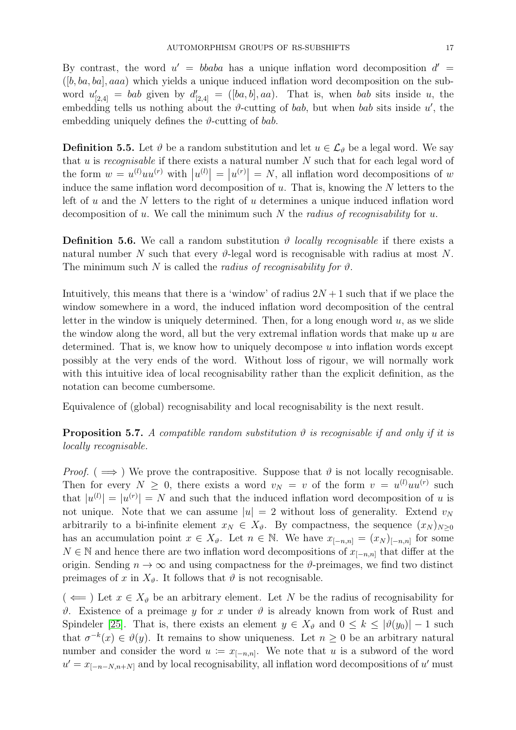By contrast, the word  $u' = bbaba$  has a unique inflation word decomposition  $d' =$  $([b, ba, ba], aaa)$  which yields a unique induced inflation word decomposition on the subword  $u'_{[2,4]} = bab$  given by  $d'_{[2,4]} = ([ba, b], aa)$ . That is, when bab sits inside u, the embedding tells us nothing about the  $\vartheta$ -cutting of bab, but when bab sits inside u', the embedding uniquely defines the  $\vartheta$ -cutting of bab.

**Definition 5.5.** Let  $\vartheta$  be a random substitution and let  $u \in \mathcal{L}_{\vartheta}$  be a legal word. We say that u is recognisable if there exists a natural number  $N$  such that for each legal word of the form  $w = u^{(l)}uu^{(r)}$  with  $|u^{(l)}| = |u^{(r)}| = N$ , all inflation word decompositions of w induce the same inflation word decomposition of  $u$ . That is, knowing the  $N$  letters to the left of u and the N letters to the right of u determines a unique induced inflation word decomposition of u. We call the minimum such N the radius of recognisability for u.

**Definition 5.6.** We call a random substitution  $\vartheta$  *locally recognisable* if there exists a natural number N such that every  $\vartheta$ -legal word is recognisable with radius at most N. The minimum such N is called the *radius of recognisability for*  $\vartheta$ .

Intuitively, this means that there is a 'window' of radius  $2N + 1$  such that if we place the window somewhere in a word, the induced inflation word decomposition of the central letter in the window is uniquely determined. Then, for a long enough word  $u$ , as we slide the window along the word, all but the very extremal inflation words that make up  $u$  are determined. That is, we know how to uniquely decompose  $u$  into inflation words except possibly at the very ends of the word. Without loss of rigour, we will normally work with this intuitive idea of local recognisability rather than the explicit definition, as the notation can become cumbersome.

Equivalence of (global) recognisability and local recognisability is the next result.

<span id="page-16-0"></span>**Proposition 5.7.** A compatible random substitution  $\vartheta$  is recognisable if and only if it is locally recognisable.

*Proof.* ( $\implies$ ) We prove the contrapositive. Suppose that  $\vartheta$  is not locally recognisable. Then for every  $N \geq 0$ , there exists a word  $v_N = v$  of the form  $v = u^{(l)} u u^{(r)}$  such that  $|u^{(l)}| = |u^{(r)}| = N$  and such that the induced inflation word decomposition of u is not unique. Note that we can assume  $|u| = 2$  without loss of generality. Extend  $v<sub>N</sub>$ arbitrarily to a bi-infinite element  $x_N \in X_{\vartheta}$ . By compactness, the sequence  $(x_N)_{N>0}$ has an accumulation point  $x \in X_{\vartheta}$ . Let  $n \in \mathbb{N}$ . We have  $x_{[-n,n]} = (x_N)_{[-n,n]}$  for some  $N \in \mathbb{N}$  and hence there are two inflation word decompositions of  $x_{[-n,n]}$  that differ at the origin. Sending  $n \to \infty$  and using compactness for the  $\vartheta$ -preimages, we find two distinct preimages of x in  $X_{\vartheta}$ . It follows that  $\vartheta$  is not recognisable.

 $(\iff)$  Let  $x \in X_{\vartheta}$  be an arbitrary element. Let N be the radius of recognisability for  $\vartheta$ . Existence of a preimage y for x under  $\vartheta$  is already known from work of Rust and Spindeler [\[25\]](#page-28-1). That is, there exists an element  $y \in X_{\vartheta}$  and  $0 \leq k \leq |\vartheta(y_0)| - 1$  such that  $\sigma^{-k}(x) \in \vartheta(y)$ . It remains to show uniqueness. Let  $n \geq 0$  be an arbitrary natural number and consider the word  $u := x_{[-n,n]}$ . We note that u is a subword of the word  $u' = x_{[-n-N,n+N]}$  and by local recognisability, all inflation word decompositions of u' must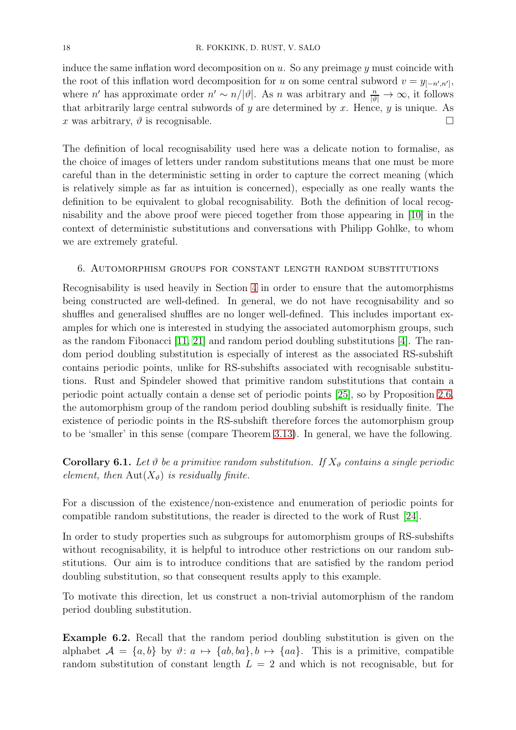induce the same inflation word decomposition on  $u$ . So any preimage  $\eta$  must coincide with the root of this inflation word decomposition for u on some central subword  $v = y_{[-n',n']}$ , where n' has approximate order  $n' \sim n/|\vartheta|$ . As n was arbitrary and  $\frac{n}{|\vartheta|} \to \infty$ , it follows that arbitrarily large central subwords of  $y$  are determined by  $x$ . Hence,  $y$  is unique. As x was arbitrary,  $\vartheta$  is recognisable.

The definition of local recognisability used here was a delicate notion to formalise, as the choice of images of letters under random substitutions means that one must be more careful than in the deterministic setting in order to capture the correct meaning (which is relatively simple as far as intuition is concerned), especially as one really wants the definition to be equivalent to global recognisability. Both the definition of local recognisability and the above proof were pieced together from those appearing in [\[10\]](#page-27-19) in the context of deterministic substitutions and conversations with Philipp Gohlke, to whom we are extremely grateful.

#### <span id="page-17-0"></span>6. Automorphism groups for constant length random substitutions

Recognisability is used heavily in Section [4](#page-12-1) in order to ensure that the automorphisms being constructed are well-defined. In general, we do not have recognisability and so shuffles and generalised shuffles are no longer well-defined. This includes important examples for which one is interested in studying the associated automorphism groups, such as the random Fibonacci  $[11, 21]$  $[11, 21]$  and random period doubling substitutions  $[4]$ . The random period doubling substitution is especially of interest as the associated RS-subshift contains periodic points, unlike for RS-subshifts associated with recognisable substitutions. Rust and Spindeler showed that primitive random substitutions that contain a periodic point actually contain a dense set of periodic points [\[25\]](#page-28-1), so by Proposition [2.6,](#page-5-1) the automorphism group of the random period doubling subshift is residually finite. The existence of periodic points in the RS-subshift therefore forces the automorphism group to be 'smaller' in this sense (compare Theorem [3.13\)](#page-12-0). In general, we have the following.

# **Corollary 6.1.** Let  $\vartheta$  be a primitive random substitution. If  $X_{\vartheta}$  contains a single periodic element, then  $Aut(X_{\vartheta})$  is residually finite.

For a discussion of the existence/non-existence and enumeration of periodic points for compatible random substitutions, the reader is directed to the work of Rust [\[24\]](#page-28-2).

In order to study properties such as subgroups for automorphism groups of RS-subshifts without recognisability, it is helpful to introduce other restrictions on our random substitutions. Our aim is to introduce conditions that are satisfied by the random period doubling substitution, so that consequent results apply to this example.

To motivate this direction, let us construct a non-trivial automorphism of the random period doubling substitution.

Example 6.2. Recall that the random period doubling substitution is given on the alphabet  $A = \{a, b\}$  by  $\vartheta: a \mapsto \{ab, ba\}, b \mapsto \{aa\}.$  This is a primitive, compatible random substitution of constant length  $L = 2$  and which is not recognisable, but for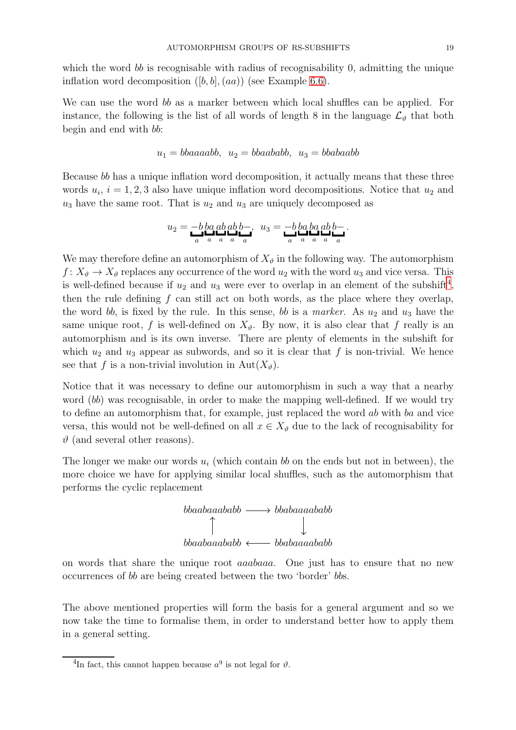which the word bb is recognisable with radius of recognisability 0, admitting the unique inflation word decomposition  $([b, b], (aa))$  (see Example [6.6\)](#page-20-0).

We can use the word bb as a marker between which local shuffles can be applied. For instance, the following is the list of all words of length 8 in the language  $\mathcal{L}_{\theta}$  that both begin and end with bb:

$$
u_1 = bbaaaabb, \ u_2 = bbaababb, \ u_3 = bbabaabb
$$

Because bb has a unique inflation word decomposition, it actually means that these three words  $u_i$ ,  $i = 1, 2, 3$  also have unique inflation word decompositions. Notice that  $u_2$  and  $u_3$  have the same root. That is  $u_2$  and  $u_3$  are uniquely decomposed as

$$
u_2 = -b \log ab \, ab - , \quad u_3 = -b \log ab \, ab - ,
$$

We may therefore define an automorphism of  $X_{\vartheta}$  in the following way. The automorphism  $f: X_{\vartheta} \to X_{\vartheta}$  replaces any occurrence of the word  $u_2$  with the word  $u_3$  and vice versa. This is well-defined because if  $u_2$  and  $u_3$  were ever to overlap in an element of the subshift<sup>[4](#page-18-0)</sup>, then the rule defining  $f$  can still act on both words, as the place where they overlap, the word bb, is fixed by the rule. In this sense, bb is a marker. As  $u_2$  and  $u_3$  have the same unique root, f is well-defined on  $X_{\vartheta}$ . By now, it is also clear that f really is an automorphism and is its own inverse. There are plenty of elements in the subshift for which  $u_2$  and  $u_3$  appear as subwords, and so it is clear that f is non-trivial. We hence see that f is a non-trivial involution in Aut $(X_{\vartheta})$ .

Notice that it was necessary to define our automorphism in such a way that a nearby word (bb) was recognisable, in order to make the mapping well-defined. If we would try to define an automorphism that, for example, just replaced the word ab with ba and vice versa, this would not be well-defined on all  $x \in X_{\vartheta}$  due to the lack of recognisability for  $\vartheta$  (and several other reasons).

The longer we make our words  $u_i$  (which contain bb on the ends but not in between), the more choice we have for applying similar local shuffles, such as the automorphism that performs the cyclic replacement



on words that share the unique root aaabaaa. One just has to ensure that no new occurrences of bb are being created between the two 'border' bbs.

The above mentioned properties will form the basis for a general argument and so we now take the time to formalise them, in order to understand better how to apply them in a general setting.

<span id="page-18-0"></span><sup>&</sup>lt;sup>4</sup>In fact, this cannot happen because  $a^9$  is not legal for  $\vartheta$ .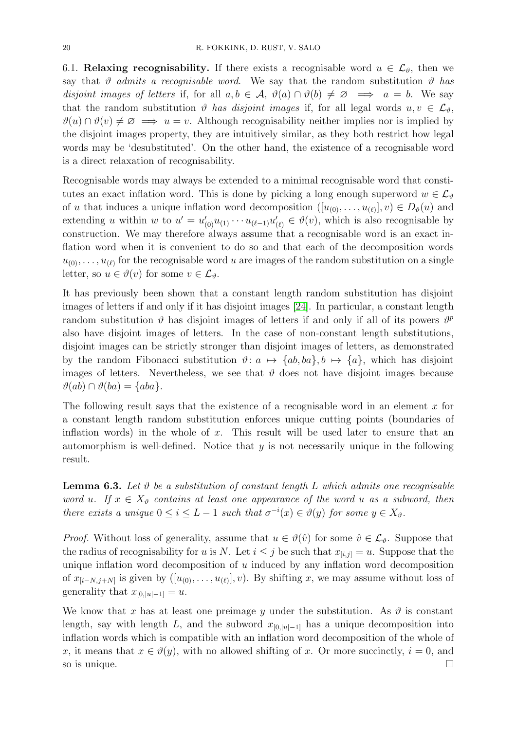6.1. Relaxing recognisability. If there exists a recognisable word  $u \in \mathcal{L}_{\vartheta}$ , then we say that  $\vartheta$  admits a recognisable word. We say that the random substitution  $\vartheta$  has disjoint images of letters if, for all  $a, b \in \mathcal{A}$ ,  $\vartheta(a) \cap \vartheta(b) \neq \emptyset \implies a = b$ . We say that the random substitution  $\vartheta$  has disjoint images if, for all legal words  $u, v \in \mathcal{L}_{\vartheta}$ ,  $\vartheta(u) \cap \vartheta(v) \neq \emptyset \implies u = v$ . Although recognisability neither implies nor is implied by the disjoint images property, they are intuitively similar, as they both restrict how legal words may be 'desubstituted'. On the other hand, the existence of a recognisable word is a direct relaxation of recognisability.

Recognisable words may always be extended to a minimal recognisable word that constitutes an exact inflation word. This is done by picking a long enough superword  $w \in \mathcal{L}_{\vartheta}$ of u that induces a unique inflation word decomposition  $([u_{(0)},...,u_{(\ell)}],v) \in D_{\theta}(u)$  and extending u within w to  $u' = u'_{(0)}u_{(1)}\cdots u_{(\ell-1)}u'_{(\ell)} \in \vartheta(v)$ , which is also recognisable by construction. We may therefore always assume that a recognisable word is an exact inflation word when it is convenient to do so and that each of the decomposition words  $u_{(0)}, \ldots, u_{(\ell)}$  for the recognisable word u are images of the random substitution on a single letter, so  $u \in \vartheta(v)$  for some  $v \in \mathcal{L}_{\vartheta}$ .

It has previously been shown that a constant length random substitution has disjoint images of letters if and only if it has disjoint images [\[24\]](#page-28-2). In particular, a constant length random substitution  $\vartheta$  has disjoint images of letters if and only if all of its powers  $\vartheta^p$ also have disjoint images of letters. In the case of non-constant length substitutions, disjoint images can be strictly stronger than disjoint images of letters, as demonstrated by the random Fibonacci substitution  $\vartheta: a \mapsto \{ab, ba\}, b \mapsto \{a\}$ , which has disjoint images of letters. Nevertheless, we see that  $\vartheta$  does not have disjoint images because  $\vartheta(ab) \cap \vartheta(ba) = \{aba\}.$ 

The following result says that the existence of a recognisable word in an element  $x$  for a constant length random substitution enforces unique cutting points (boundaries of inflation words) in the whole of  $x$ . This result will be used later to ensure that an automorphism is well-defined. Notice that  $y$  is not necessarily unique in the following result.

<span id="page-19-0"></span>**Lemma 6.3.** Let  $\vartheta$  be a substitution of constant length L which admits one recognisable word u. If  $x \in X_{\vartheta}$  contains at least one appearance of the word u as a subword, then there exists a unique  $0 \leq i \leq L-1$  such that  $\sigma^{-i}(x) \in \vartheta(y)$  for some  $y \in X_{\vartheta}$ .

*Proof.* Without loss of generality, assume that  $u \in \vartheta(\hat{v})$  for some  $\hat{v} \in \mathcal{L}_{\vartheta}$ . Suppose that the radius of recognisability for u is N. Let  $i \leq j$  be such that  $x_{[i,j]} = u$ . Suppose that the unique inflation word decomposition of  $u$  induced by any inflation word decomposition of  $x_{[i-N,j+N]}$  is given by  $([u_{(0)},...,u_{(\ell)}],v)$ . By shifting x, we may assume without loss of generality that  $x_{[0,|u|-1]} = u$ .

We know that x has at least one preimage y under the substitution. As  $\vartheta$  is constant length, say with length L, and the subword  $x_{[0,|u|-1]}$  has a unique decomposition into inflation words which is compatible with an inflation word decomposition of the whole of x, it means that  $x \in \vartheta(y)$ , with no allowed shifting of x. Or more succinctly,  $i = 0$ , and so is unique.  $\Box$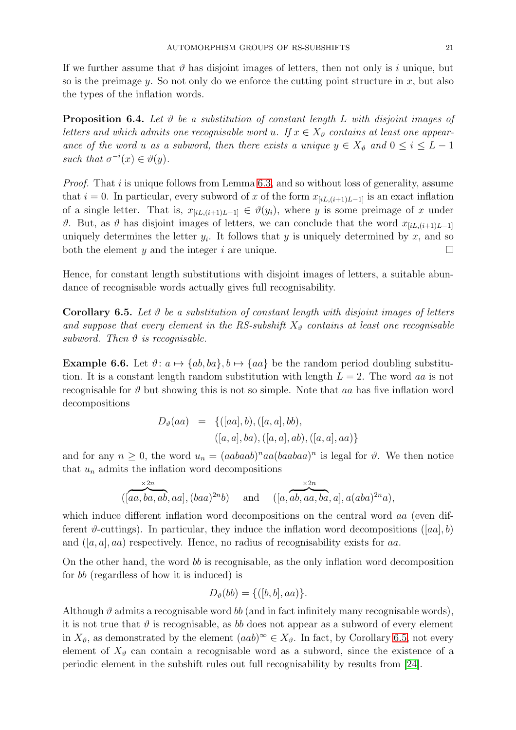If we further assume that  $\vartheta$  has disjoint images of letters, then not only is i unique, but so is the preimage y. So not only do we enforce the cutting point structure in x, but also the types of the inflation words.

**Proposition 6.4.** Let  $\vartheta$  be a substitution of constant length L with disjoint images of letters and which admits one recognisable word u. If  $x \in X_{\vartheta}$  contains at least one appearance of the word u as a subword, then there exists a unique  $y \in X_{\vartheta}$  and  $0 \leq i \leq L - 1$ such that  $\sigma^{-i}(x) \in \vartheta(y)$ .

Proof. That i is unique follows from Lemma [6.3,](#page-19-0) and so without loss of generality, assume that  $i = 0$ . In particular, every subword of x of the form  $x_{[iL,(i+1)L-1]}$  is an exact inflation of a single letter. That is,  $x_{[iL,(i+1)L-1]} \in \vartheta(y_i)$ , where y is some preimage of x under  $\vartheta$ . But, as  $\vartheta$  has disjoint images of letters, we can conclude that the word  $x_{[iL,(i+1)L-1]}$ uniquely determines the letter  $y_i$ . It follows that y is uniquely determined by x, and so both the element y and the integer i are unique.  $\Box$ 

Hence, for constant length substitutions with disjoint images of letters, a suitable abundance of recognisable words actually gives full recognisability.

<span id="page-20-1"></span>**Corollary 6.5.** Let  $\vartheta$  be a substitution of constant length with disjoint images of letters and suppose that every element in the RS-subshift  $X_{\vartheta}$  contains at least one recognisable subword. Then  $\vartheta$  is recognisable.

<span id="page-20-0"></span>**Example 6.6.** Let  $\vartheta$ :  $a \mapsto \{ab, ba\}, b \mapsto \{aa\}$  be the random period doubling substitution. It is a constant length random substitution with length  $L = 2$ . The word aa is not recognisable for  $\vartheta$  but showing this is not so simple. Note that as has five inflation word decompositions

$$
D_{\vartheta}(aa) = \{([aa], b), ([a, a], bb),
$$
  

$$
([a, a], ba), ([a, a], ab), ([a, a], aa)\}
$$

and for any  $n \geq 0$ , the word  $u_n = (aabaab)^naa(baabaa)^n$  is legal for  $\vartheta$ . We then notice that  $u_n$  admits the inflation word decompositions

$$
\overbrace{([aa,ba,ab,aa]}^{x2n},(baa)^{2n}b) \quad \text{and} \quad ([a,ab,aa,ba,a],a(aba)^{2n}a),
$$

which induce different inflation word decompositions on the central word aa (even different  $\vartheta$ -cuttings). In particular, they induce the inflation word decompositions ([aa], b) and  $([a, a], aa)$  respectively. Hence, no radius of recognisability exists for aa.

On the other hand, the word bb is recognisable, as the only inflation word decomposition for bb (regardless of how it is induced) is

$$
D_{\vartheta}(bb) = \{([b, b], aa)\}.
$$

Although  $\vartheta$  admits a recognisable word bb (and in fact infinitely many recognisable words), it is not true that  $\vartheta$  is recognisable, as b does not appear as a subword of every element in  $X_{\vartheta}$ , as demonstrated by the element  $(aab)^{\infty} \in X_{\vartheta}$ . In fact, by Corollary [6.5,](#page-20-1) not every element of  $X_{\vartheta}$  can contain a recognisable word as a subword, since the existence of a periodic element in the subshift rules out full recognisability by results from [\[24\]](#page-28-2).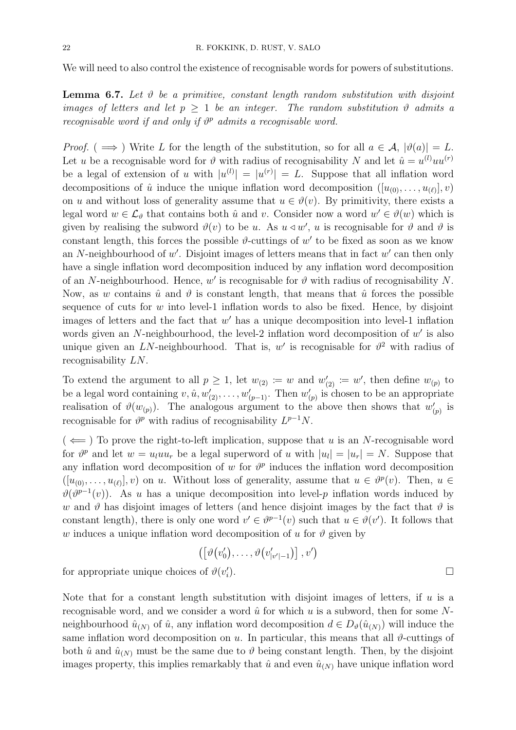We will need to also control the existence of recognisable words for powers of substitutions.

**Lemma 6.7.** Let  $\vartheta$  be a primitive, constant length random substitution with disjoint images of letters and let  $p \geq 1$  be an integer. The random substitution  $\vartheta$  admits a recognisable word if and only if  $\vartheta^p$  admits a recognisable word.

*Proof.* (  $\implies$  ) Write L for the length of the substitution, so for all  $a \in \mathcal{A}$ ,  $|\vartheta(a)| = L$ . Let u be a recognisable word for  $\vartheta$  with radius of recognisability N and let  $\hat{u} = u^{(l)}uu^{(r)}$ be a legal of extension of u with  $|u^{(l)}| = |u^{(r)}| = L$ . Suppose that all inflation word decompositions of  $\hat{u}$  induce the unique inflation word decomposition  $([u_{(0)},...,u_{(\ell)}],v)$ on u and without loss of generality assume that  $u \in \vartheta(v)$ . By primitivity, there exists a legal word  $w \in \mathcal{L}_{\vartheta}$  that contains both  $\hat{u}$  and v. Consider now a word  $w' \in \vartheta(w)$  which is given by realising the subword  $\vartheta(v)$  to be u. As  $u \triangleleft w'$ , u is recognisable for  $\vartheta$  and  $\vartheta$  is constant length, this forces the possible  $\vartheta$ -cuttings of  $w'$  to be fixed as soon as we know an N-neighbourhood of  $w'$ . Disjoint images of letters means that in fact  $w'$  can then only have a single inflation word decomposition induced by any inflation word decomposition of an N-neighbourhood. Hence,  $w'$  is recognisable for  $\vartheta$  with radius of recognisability N. Now, as w contains  $\hat{u}$  and  $\hat{v}$  is constant length, that means that  $\hat{u}$  forces the possible sequence of cuts for  $w$  into level-1 inflation words to also be fixed. Hence, by disjoint images of letters and the fact that  $w'$  has a unique decomposition into level-1 inflation words given an N-neighbourhood, the level-2 inflation word decomposition of  $w'$  is also unique given an LN-neighbourhood. That is, w' is recognisable for  $\vartheta^2$  with radius of recognisability LN.

To extend the argument to all  $p \geq 1$ , let  $w_{(2)} \coloneq w$  and  $w'_{(2)} \coloneq w'$ , then define  $w_{(p)}$  to be a legal word containing  $v, \hat{u}, w'_{(2)}, \dots, w'_{(p-1)}$ . Then  $w'_{(p)}$  is chosen to be an appropriate realisation of  $\vartheta(w_{(p)})$ . The analogous argument to the above then shows that  $w'_{(p)}$  is recognisable for  $\vartheta^p$  with radius of recognisability  $L^{p-1}N$ .

 $(\Leftarrow)$  To prove the right-to-left implication, suppose that u is an N-recognisable word for  $\vartheta^p$  and let  $w = u_l u u_r$  be a legal superword of u with  $|u_l| = |u_r| = N$ . Suppose that any inflation word decomposition of w for  $\vartheta^p$  induces the inflation word decomposition  $([u_{(0)},...,u_{(\ell)}],v)$  on u. Without loss of generality, assume that  $u \in \vartheta^p(v)$ . Then,  $u \in$  $\vartheta(\vartheta^{p-1}(v))$ . As u has a unique decomposition into level-p inflation words induced by w and  $\vartheta$  has disjoint images of letters (and hence disjoint images by the fact that  $\vartheta$  is constant length), there is only one word  $v' \in \vartheta^{p-1}(v)$  such that  $u \in \vartheta(v')$ . It follows that w induces a unique inflation word decomposition of u for  $\vartheta$  given by

$$
\left(\left[\vartheta\big(v_0'\big),\ldots,\vartheta\big(v_{|v'|-1}'\big)\right],v'\right)
$$

for appropriate unique choices of  $\vartheta(v'_i)$ ).  $\qquad \qquad \Box$ 

Note that for a constant length substitution with disjoint images of letters, if  $u$  is a recognisable word, and we consider a word  $\hat{u}$  for which u is a subword, then for some Nneighbourhood  $\hat{u}_{(N)}$  of  $\hat{u}$ , any inflation word decomposition  $d \in D_{\vartheta}(\hat{u}_{(N)})$  will induce the same inflation word decomposition on u. In particular, this means that all  $\vartheta$ -cuttings of both  $\hat{u}$  and  $\hat{u}_{(N)}$  must be the same due to  $\vartheta$  being constant length. Then, by the disjoint images property, this implies remarkably that  $\hat{u}$  and even  $\hat{u}_{(N)}$  have unique inflation word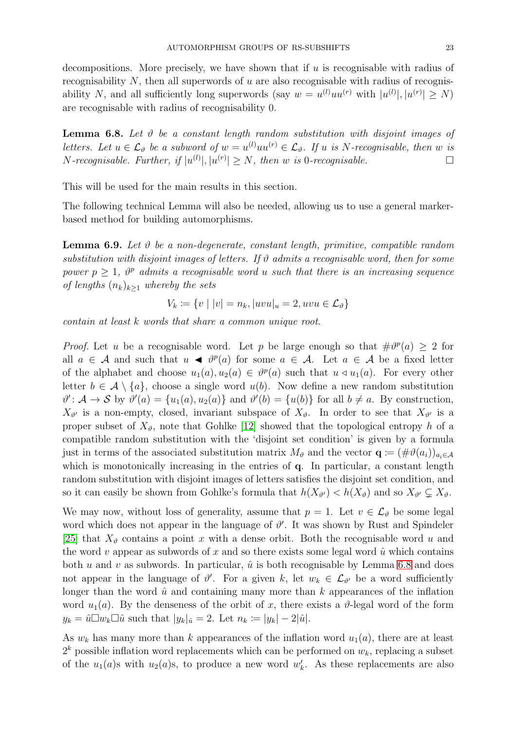decompositions. More precisely, we have shown that if  $u$  is recognisable with radius of recognisability  $N$ , then all superwords of  $u$  are also recognisable with radius of recognisability N, and all sufficiently long superwords (say  $w = u^{(l)}uu^{(r)}$  with  $|u^{(l)}|, |u^{(r)}| \ge N$ ) are recognisable with radius of recognisability 0.

<span id="page-22-0"></span>**Lemma 6.8.** Let  $\vartheta$  be a constant length random substitution with disjoint images of letters. Let  $u \in \mathcal{L}_{\vartheta}$  be a subword of  $w = u^{(l)}uu^{(r)} \in \mathcal{L}_{\vartheta}$ . If u is N-recognisable, then w is *N*-recognisable. Further, if  $|u^{(l)}|, |u^{(r)}| \ge N$ , then w is 0-recognisable.

This will be used for the main results in this section.

The following technical Lemma will also be needed, allowing us to use a general markerbased method for building automorphisms.

<span id="page-22-1"></span>**Lemma 6.9.** Let  $\vartheta$  be a non-degenerate, constant length, primitive, compatible random substitution with disjoint images of letters. If  $\vartheta$  admits a recognisable word, then for some power  $p \geq 1$ ,  $\vartheta^p$  admits a recognisable word u such that there is an increasing sequence of lengths  $(n_k)_{k>1}$  whereby the sets

$$
V_k \coloneqq \{ v \mid |v| = n_k, |uvu|_u = 2, uvu \in \mathcal{L}_{\vartheta} \}
$$

contain at least k words that share a common unique root.

*Proof.* Let u be a recognisable word. Let p be large enough so that  $\#\theta^p(a) \geq 2$  for all  $a \in \mathcal{A}$  and such that  $u \blacktriangleleft \vartheta^p(a)$  for some  $a \in \mathcal{A}$ . Let  $a \in \mathcal{A}$  be a fixed letter of the alphabet and choose  $u_1(a), u_2(a) \in \vartheta^p(a)$  such that  $u \triangleleft u_1(a)$ . For every other letter  $b \in \mathcal{A} \setminus \{a\}$ , choose a single word  $u(b)$ . Now define a new random substitution  $\vartheta' : A \to S$  by  $\vartheta'(a) = \{u_1(a), u_2(a)\}\$ and  $\vartheta'(b) = \{u(b)\}\$ for all  $b \neq a$ . By construction,  $X_{\vartheta'}$  is a non-empty, closed, invariant subspace of  $X_{\vartheta}$ . In order to see that  $X_{\vartheta'}$  is a proper subset of  $X_{\vartheta}$ , note that Gohlke [\[12\]](#page-27-8) showed that the topological entropy h of a compatible random substitution with the 'disjoint set condition' is given by a formula just in terms of the associated substitution matrix  $M_{\vartheta}$  and the vector  $\mathbf{q} := (\#\vartheta(a_i))_{a_i \in \mathcal{A}}$ which is monotonically increasing in the entries of  $q$ . In particular, a constant length random substitution with disjoint images of letters satisfies the disjoint set condition, and so it can easily be shown from Gohlke's formula that  $h(X_{\vartheta'}) < h(X_{\vartheta})$  and so  $X_{\vartheta'} \subsetneq X_{\vartheta}$ .

We may now, without loss of generality, assume that  $p = 1$ . Let  $v \in \mathcal{L}_{\vartheta}$  be some legal word which does not appear in the language of  $\vartheta'$ . It was shown by Rust and Spindeler [\[25\]](#page-28-1) that  $X_{\vartheta}$  contains a point x with a dense orbit. Both the recognisable word u and the word v appear as subwords of x and so there exists some legal word  $\hat{u}$  which contains both u and v as subwords. In particular,  $\hat{u}$  is both recognisable by Lemma [6.8](#page-22-0) and does not appear in the language of  $\vartheta'$ . For a given k, let  $w_k \in \mathcal{L}_{\vartheta'}$  be a word sufficiently longer than the word  $\hat{u}$  and containing many more than k appearances of the inflation word  $u_1(a)$ . By the denseness of the orbit of x, there exists a  $\vartheta$ -legal word of the form  $y_k = \hat{u} \Box w_k \Box \hat{u}$  such that  $|y_k|_{\hat{u}} = 2$ . Let  $n_k \coloneqq |y_k| - 2|\hat{u}|$ .

As  $w_k$  has many more than k appearances of the inflation word  $u_1(a)$ , there are at least  $2<sup>k</sup>$  possible inflation word replacements which can be performed on  $w<sub>k</sub>$ , replacing a subset of the  $u_1(a)$ s with  $u_2(a)$ s, to produce a new word  $w'_k$ . As these replacements are also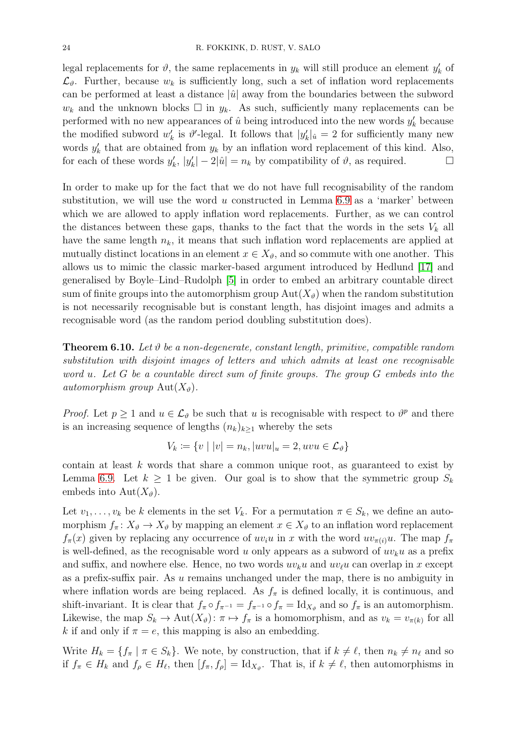legal replacements for  $\vartheta$ , the same replacements in  $y_k$  will still produce an element  $y'_k$  of  $\mathcal{L}_{\vartheta}$ . Further, because  $w_k$  is sufficiently long, such a set of inflation word replacements can be performed at least a distance  $|\hat{u}|$  away from the boundaries between the subword  $w_k$  and the unknown blocks  $\Box$  in  $y_k$ . As such, sufficiently many replacements can be performed with no new appearances of  $\hat{u}$  being introduced into the new words  $y'_k$  because the modified subword  $w'_k$  is  $\vartheta'$ -legal. It follows that  $|y'_k|_{\hat{u}} = 2$  for sufficiently many new words  $y'_k$  that are obtained from  $y_k$  by an inflation word replacement of this kind. Also, for each of these words  $y'_k$ ,  $|y'_k| - 2|\hat{u}| = n_k$  by compatibility of  $\vartheta$ , as required.

In order to make up for the fact that we do not have full recognisability of the random substitution, we will use the word  $u$  constructed in Lemma [6.9](#page-22-1) as a 'marker' between which we are allowed to apply inflation word replacements. Further, as we can control the distances between these gaps, thanks to the fact that the words in the sets  $V_k$  all have the same length  $n_k$ , it means that such inflation word replacements are applied at mutually distinct locations in an element  $x \in X_{\vartheta}$ , and so commute with one another. This allows us to mimic the classic marker-based argument introduced by Hedlund [\[17\]](#page-27-1) and generalised by Boyle–Lind–Rudolph [\[5\]](#page-27-0) in order to embed an arbitrary countable direct sum of finite groups into the automorphism group  $Aut(X_{\theta})$  when the random substitution is not necessarily recognisable but is constant length, has disjoint images and admits a recognisable word (as the random period doubling substitution does).

<span id="page-23-0"></span>**Theorem 6.10.** Let  $\vartheta$  be a non-degenerate, constant length, primitive, compatible random substitution with disjoint images of letters and which admits at least one recognisable word u. Let G be a countable direct sum of finite groups. The group G embeds into the automorphism group  $\text{Aut}(X_{\vartheta}).$ 

*Proof.* Let  $p \ge 1$  and  $u \in \mathcal{L}_{\vartheta}$  be such that u is recognisable with respect to  $\vartheta^p$  and there is an increasing sequence of lengths  $(n_k)_{k\geq 1}$  whereby the sets

$$
V_k \coloneqq \{ v \mid |v| = n_k, |uvu|_u = 2, uvu \in \mathcal{L}_{\vartheta} \}
$$

contain at least k words that share a common unique root, as guaranteed to exist by Lemma [6.9.](#page-22-1) Let  $k \geq 1$  be given. Our goal is to show that the symmetric group  $S_k$ embeds into  $Aut(X_{\vartheta}).$ 

Let  $v_1, \ldots, v_k$  be k elements in the set  $V_k$ . For a permutation  $\pi \in S_k$ , we define an automorphism  $f_{\pi}: X_{\vartheta} \to X_{\vartheta}$  by mapping an element  $x \in X_{\vartheta}$  to an inflation word replacement  $f_{\pi}(x)$  given by replacing any occurrence of  $uv_iu$  in x with the word  $uv_{\pi(i)}u$ . The map  $f_{\pi}$ is well-defined, as the recognisable word u only appears as a subword of  $uv_ku$  as a prefix and suffix, and nowhere else. Hence, no two words  $uv_ku$  and  $uv_\ell u$  can overlap in x except as a prefix-suffix pair. As  $u$  remains unchanged under the map, there is no ambiguity in where inflation words are being replaced. As  $f_{\pi}$  is defined locally, it is continuous, and shift-invariant. It is clear that  $f_{\pi} \circ f_{\pi^{-1}} = f_{\pi^{-1}} \circ f_{\pi} = \mathrm{Id}_{X_{\vartheta}}$  and so  $f_{\pi}$  is an automorphism. Likewise, the map  $S_k \to \text{Aut}(X_{\vartheta})$ :  $\pi \mapsto f_{\pi}$  is a homomorphism, and as  $v_k = v_{\pi(k)}$  for all k if and only if  $\pi = e$ , this mapping is also an embedding.

Write  $H_k = \{f_\pi \mid \pi \in S_k\}$ . We note, by construction, that if  $k \neq \ell$ , then  $n_k \neq n_\ell$  and so if  $f_{\pi} \in H_k$  and  $f_{\rho} \in H_{\ell}$ , then  $[f_{\pi}, f_{\rho}] = \mathrm{Id}_{X_{\vartheta}}$ . That is, if  $k \neq \ell$ , then automorphisms in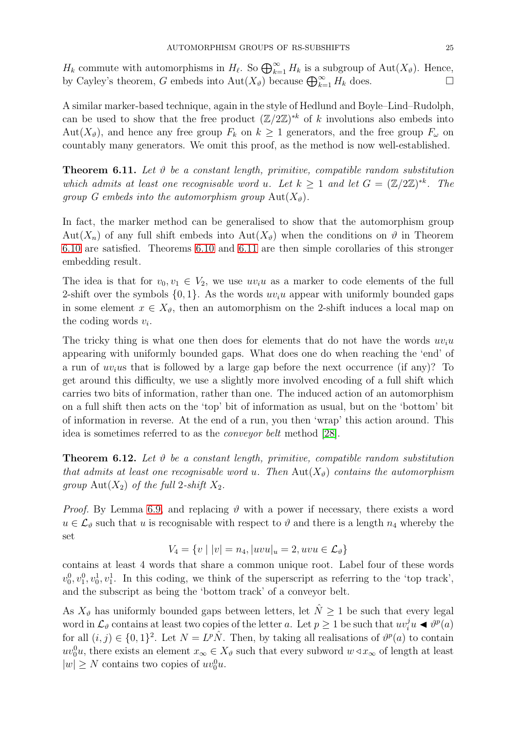$H_k$  commute with automorphisms in  $H_\ell$ . So  $\bigoplus_{k=1}^\infty H_k$  is a subgroup of  $\text{Aut}(X_\vartheta)$ . Hence, by Cayley's theorem, G embeds into  $\text{Aut}(X_{\vartheta})$  because  $\bigoplus_{k=1}^{\infty} H_k$  does.

A similar marker-based technique, again in the style of Hedlund and Boyle–Lind–Rudolph, can be used to show that the free product  $(\mathbb{Z}/2\mathbb{Z})^{*k}$  of k involutions also embeds into Aut $(X_{\vartheta})$ , and hence any free group  $F_k$  on  $k \geq 1$  generators, and the free group  $F_{\omega}$  on countably many generators. We omit this proof, as the method is now well-established.

<span id="page-24-1"></span>**Theorem 6.11.** Let  $\vartheta$  be a constant length, primitive, compatible random substitution which admits at least one recognisable word u. Let  $k \geq 1$  and let  $G = (\mathbb{Z}/2\mathbb{Z})^{*k}$ . The group G embeds into the automorphism group  $\text{Aut}(X_{\vartheta}).$ 

In fact, the marker method can be generalised to show that the automorphism group Aut $(X_n)$  of any full shift embeds into Aut $(X_n)$  when the conditions on  $\vartheta$  in Theorem [6.10](#page-23-0) are satisfied. Theorems [6.10](#page-23-0) and [6.11](#page-24-1) are then simple corollaries of this stronger embedding result.

The idea is that for  $v_0, v_1 \in V_2$ , we use  $uv_iu$  as a marker to code elements of the full 2-shift over the symbols  $\{0, 1\}$ . As the words  $uv_iu$  appear with uniformly bounded gaps in some element  $x \in X_{\vartheta}$ , then an automorphism on the 2-shift induces a local map on the coding words  $v_i$ .

The tricky thing is what one then does for elements that do not have the words  $uv_iu$ appearing with uniformly bounded gaps. What does one do when reaching the 'end' of a run of  $uv_i$ us that is followed by a large gap before the next occurrence (if any)? To get around this difficulty, we use a slightly more involved encoding of a full shift which carries two bits of information, rather than one. The induced action of an automorphism on a full shift then acts on the 'top' bit of information as usual, but on the 'bottom' bit of information in reverse. At the end of a run, you then 'wrap' this action around. This idea is sometimes referred to as the conveyor belt method [\[28\]](#page-28-8).

<span id="page-24-0"></span>**Theorem 6.12.** Let  $\vartheta$  be a constant length, primitive, compatible random substitution that admits at least one recognisable word u. Then  $\text{Aut}(X_{\vartheta})$  contains the automorphism group  $\text{Aut}(X_2)$  of the full 2-shift  $X_2$ .

*Proof.* By Lemma [6.9,](#page-22-1) and replacing  $\vartheta$  with a power if necessary, there exists a word  $u \in \mathcal{L}_{\vartheta}$  such that u is recognisable with respect to  $\vartheta$  and there is a length  $n_4$  whereby the set

$$
V_4 = \{v \mid |v| = n_4, |uvu|_u = 2, uvu \in \mathcal{L}_{\vartheta}\}
$$

contains at least 4 words that share a common unique root. Label four of these words  $v_0^0, v_1^0, v_0^1, v_1^1$ . In this coding, we think of the superscript as referring to the 'top track', and the subscript as being the 'bottom track' of a conveyor belt.

As  $X_{\vartheta}$  has uniformly bounded gaps between letters, let  $\hat{N} \geq 1$  be such that every legal word in  $\mathcal{L}_{\vartheta}$  contains at least two copies of the letter a. Let  $p \geq 1$  be such that  $uv_i^j u \blacktriangleleft v^p(a)$ for all  $(i, j) \in \{0, 1\}^2$ . Let  $N = L^p \hat{N}$ . Then, by taking all realisations of  $\vartheta^p(a)$  to contain  $uv_0^0u$ , there exists an element  $x_\infty \in X_\vartheta$  such that every subword  $w \triangleleft x_\infty$  of length at least  $|w| \geq N$  contains two copies of  $uv_0^0u$ .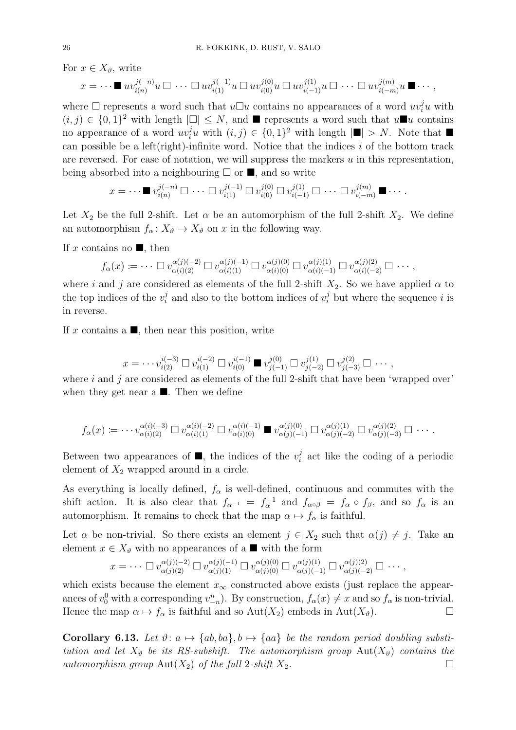For  $x \in X_{\vartheta}$ , write

$$
x = \cdots \blacksquare uv_{i(n)}^{j(-n)} u \square \cdots \square uv_{i(1)}^{j(-1)} u \square uv_{i(0)}^{j(0)} u \square uv_{i(-1)}^{j(1)} u \square \cdots \square uv_{i(-m)}^{j(m)} u \blacksquare \cdots ,
$$

where  $\Box$  represents a word such that  $u\Box u$  contains no appearances of a word  $uv_i^j u$  with  $(i, j) \in \{0, 1\}^2$  with length  $|\Box| \leq N$ , and  $\blacksquare$  represents a word such that  $u \blacksquare u$  contains no appearance of a word  $uv_i^j u$  with  $(i, j) \in \{0, 1\}^2$  with length  $|\blacksquare| > N$ . Note that  $\blacksquare$ can possible be a left(right)-infinite word. Notice that the indices  $i$  of the bottom track are reversed. For ease of notation, we will suppress the markers  $u$  in this representation, being absorbed into a neighbouring  $\Box$  or  $\blacksquare$ , and so write

$$
x = \cdots \blacksquare v_{i(n)}^{j(-n)} \square \cdots \square v_{i(1)}^{j(-1)} \square v_{i(0)}^{j(0)} \square v_{i(-1)}^{j(1)} \square \cdots \square v_{i(-m)}^{j(m)} \blacksquare \cdots
$$

Let  $X_2$  be the full 2-shift. Let  $\alpha$  be an automorphism of the full 2-shift  $X_2$ . We define an automorphism  $f_{\alpha} : X_{\vartheta} \to X_{\vartheta}$  on x in the following way.

If x contains no  $\blacksquare$ , then

$$
f_{\alpha}(x) \coloneqq \cdots \square v_{\alpha(i)(2)}^{\alpha(j)(-2)} \square v_{\alpha(i)(1)}^{\alpha(j)(-1)} \square v_{\alpha(i)(0)}^{\alpha(j)(0)} \square v_{\alpha(i)(-1)}^{\alpha(j)(1)} \square v_{\alpha(i)(-2)}^{\alpha(j)(2)} \square \cdots,
$$

where i and j are considered as elements of the full 2-shift  $X_2$ . So we have applied  $\alpha$  to the top indices of the  $v_i^j$  $i$  and also to the bottom indices of  $v_i^j$  but where the sequence i is in reverse.

If x contains a  $\blacksquare$ , then near this position, write

$$
x = \cdots v_{i(2)}^{i(-3)} \square v_{i(1)}^{i(-2)} \square v_{i(0)}^{i(-1)} \blacksquare v_{j(-1)}^{j(0)} \square v_{j(-2)}^{j(1)} \square v_{j(-3)}^{j(2)} \square \cdots,
$$

where  $i$  and  $j$  are considered as elements of the full 2-shift that have been 'wrapped over' when they get near a  $\blacksquare$ . Then we define

$$
f_{\alpha}(x) \coloneqq \cdots v_{\alpha(i)(2)}^{\alpha(i)(-3)} \square v_{\alpha(i)(1)}^{\alpha(i)(-2)} \square v_{\alpha(i)(0)}^{\alpha(i)(-1)} \blacksquare v_{\alpha(j)(-1)}^{\alpha(j)(0)} \square v_{\alpha(j)(-2)}^{\alpha(j)(1)} \square v_{\alpha(j)(-3)}^{\alpha(j)(2)} \square \cdots
$$

Between two appearances of  $\blacksquare$ , the indices of the  $v_i^j$  $i$  act like the coding of a periodic element of  $X_2$  wrapped around in a circle.

As everything is locally defined,  $f_{\alpha}$  is well-defined, continuous and commutes with the shift action. It is also clear that  $f_{\alpha^{-1}} = f_{\alpha}^{-1}$  and  $f_{\alpha \circ \beta} = f_{\alpha} \circ f_{\beta}$ , and so  $f_{\alpha}$  is an automorphism. It remains to check that the map  $\alpha \mapsto f_{\alpha}$  is faithful.

Let  $\alpha$  be non-trivial. So there exists an element  $j \in X_2$  such that  $\alpha(j) \neq j$ . Take an element  $x \in X_{\vartheta}$  with no appearances of a  $\blacksquare$  with the form

$$
x = \cdots \Box v_{\alpha(j)(2)}^{\alpha(j)(-2)} \Box v_{\alpha(j)(1)}^{\alpha(j)(-1)} \Box v_{\alpha(j)(0)}^{\alpha(j)(0)} \Box v_{\alpha(j)(-1)}^{\alpha(j)(1)} \Box v_{\alpha(j)(-2)}^{\alpha(j)(2)} \Box \cdots,
$$

which exists because the element  $x_{\infty}$  constructed above exists (just replace the appearances of  $v_0^0$  with a corresponding  $v_{-n}^n$ ). By construction,  $f_\alpha(x) \neq x$  and so  $f_\alpha$  is non-trivial. Hence the map  $\alpha \mapsto f_{\alpha}$  is faithful and so Aut( $X_2$ ) embeds in Aut( $X_{\vartheta}$ ).

Corollary 6.13. Let  $\vartheta: a \mapsto \{ab, ba\}, b \mapsto \{aa\}$  be the random period doubling substitution and let  $X_{\vartheta}$  be its RS-subshift. The automorphism group  $Aut(X_{\vartheta})$  contains the automorphism group  $\text{Aut}(X_2)$  of the full 2-shift  $X_2$ .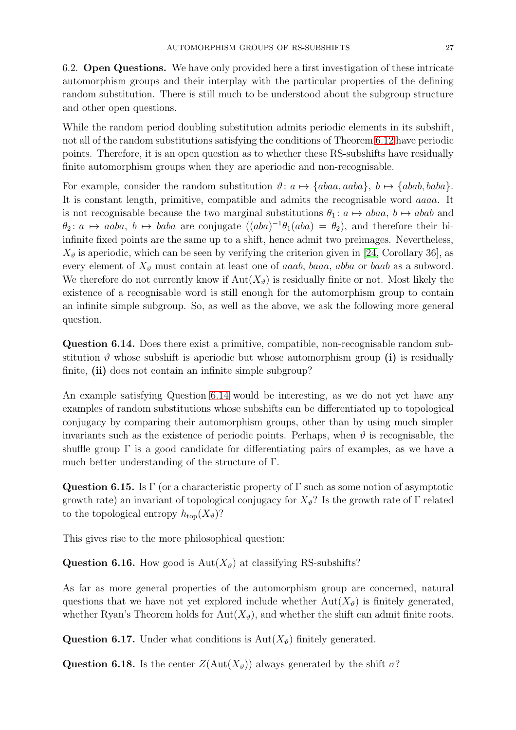6.2. Open Questions. We have only provided here a first investigation of these intricate automorphism groups and their interplay with the particular properties of the defining random substitution. There is still much to be understood about the subgroup structure and other open questions.

While the random period doubling substitution admits periodic elements in its subshift, not all of the random substitutions satisfying the conditions of Theorem [6.12](#page-24-0) have periodic points. Therefore, it is an open question as to whether these RS-subshifts have residually finite automorphism groups when they are aperiodic and non-recognisable.

For example, consider the random substitution  $\vartheta: a \mapsto \{abaa, aaba\}, b \mapsto \{abab, baba\}.$ It is constant length, primitive, compatible and admits the recognisable word aaaa. It is not recognisable because the two marginal substitutions  $\theta_1 : a \mapsto abaa, b \mapsto abab$  and  $\theta_2: a \mapsto aaba, b \mapsto baba$  are conjugate  $((aba)^{-1}\theta_1(aba) = \theta_2)$ , and therefore their biinfinite fixed points are the same up to a shift, hence admit two preimages. Nevertheless,  $X_{\vartheta}$  is aperiodic, which can be seen by verifying the criterion given in [\[24,](#page-28-2) Corollary 36], as every element of  $X_{\vartheta}$  must contain at least one of *aaab*, *baaa*, *abba* or *baab* as a subword. We therefore do not currently know if  $Aut(X_{\eta})$  is residually finite or not. Most likely the existence of a recognisable word is still enough for the automorphism group to contain an infinite simple subgroup. So, as well as the above, we ask the following more general question.

<span id="page-26-0"></span>Question 6.14. Does there exist a primitive, compatible, non-recognisable random substitution  $\vartheta$  whose subshift is aperiodic but whose automorphism group (i) is residually finite, (ii) does not contain an infinite simple subgroup?

An example satisfying Question [6.14](#page-26-0) would be interesting, as we do not yet have any examples of random substitutions whose subshifts can be differentiated up to topological conjugacy by comparing their automorphism groups, other than by using much simpler invariants such as the existence of periodic points. Perhaps, when  $\vartheta$  is recognisable, the shuffle group  $\Gamma$  is a good candidate for differentiating pairs of examples, as we have a much better understanding of the structure of Γ.

Question 6.15. Is Γ (or a characteristic property of Γ such as some notion of asymptotic growth rate) an invariant of topological conjugacy for  $X_{\vartheta}$ ? Is the growth rate of Γ related to the topological entropy  $h_{\text{top}}(X_{\vartheta})$ ?

This gives rise to the more philosophical question:

Question 6.16. How good is  $Aut(X_{\vartheta})$  at classifying RS-subshifts?

As far as more general properties of the automorphism group are concerned, natural questions that we have not yet explored include whether  $Aut(X_{\vartheta})$  is finitely generated, whether Ryan's Theorem holds for  $Aut(X_{\vartheta})$ , and whether the shift can admit finite roots.

Question 6.17. Under what conditions is  $Aut(X_{\vartheta})$  finitely generated.

Question 6.18. Is the center  $Z(\text{Aut}(X_{\vartheta}))$  always generated by the shift  $\sigma$ ?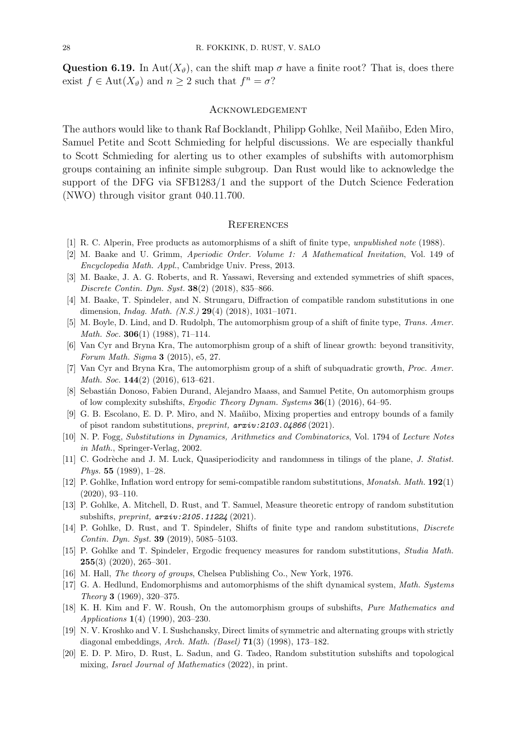Question 6.19. In Aut $(X_{\vartheta})$ , can the shift map  $\sigma$  have a finite root? That is, does there exist  $f \in \text{Aut}(X_{\vartheta})$  and  $n \geq 2$  such that  $f^n = \sigma$ ?

## **ACKNOWLEDGEMENT**

The authors would like to thank Raf Bocklandt, Philipp Gohlke, Neil Mañibo, Eden Miro, Samuel Petite and Scott Schmieding for helpful discussions. We are especially thankful to Scott Schmieding for alerting us to other examples of subshifts with automorphism groups containing an infinite simple subgroup. Dan Rust would like to acknowledge the support of the DFG via SFB1283/1 and the support of the Dutch Science Federation (NWO) through visitor grant 040.11.700.

#### **REFERENCES**

- <span id="page-27-16"></span><span id="page-27-7"></span>[1] R. C. Alperin, Free products as automorphisms of a shift of finite type, *unpublished note* (1988).
- <span id="page-27-15"></span>[2] M. Baake and U. Grimm, *Aperiodic Order. Volume 1: A Mathematical Invitation*, Vol. 149 of *Encyclopedia Math. Appl.*, Cambridge Univ. Press, 2013.
- <span id="page-27-13"></span>[3] M. Baake, J. A. G. Roberts, and R. Yassawi, Reversing and extended symmetries of shift spaces, *Discrete Contin. Dyn. Syst.* 38(2) (2018), 835–866.
- <span id="page-27-0"></span>[4] M. Baake, T. Spindeler, and N. Strungaru, Diffraction of compatible random substitutions in one dimension, *Indag. Math. (N.S.)* 29(4) (2018), 1031–1071.
- <span id="page-27-3"></span>[5] M. Boyle, D. Lind, and D. Rudolph, The automorphism group of a shift of finite type, *Trans. Amer. Math. Soc.* 306(1) (1988), 71–114.
- [6] Van Cyr and Bryna Kra, The automorphism group of a shift of linear growth: beyond transitivity, *Forum Math. Sigma* 3 (2015), e5, 27.
- <span id="page-27-5"></span><span id="page-27-4"></span>[7] Van Cyr and Bryna Kra, The automorphism group of a shift of subquadratic growth, *Proc. Amer. Math. Soc.* 144(2) (2016), 613–621.
- <span id="page-27-11"></span>[8] Sebasti´an Donoso, Fabien Durand, Alejandro Maass, and Samuel Petite, On automorphism groups of low complexity subshifts, *Ergodic Theory Dynam. Systems* 36(1) (2016), 64–95.
- [9] G. B. Escolano, E. D. P. Miro, and N. Ma˜nibo, Mixing properties and entropy bounds of a family of pisot random substitutions, *preprint, arxiv:2103.04866* (2021).
- <span id="page-27-19"></span>[10] N. P. Fogg, *Substitutions in Dynamics, Arithmetics and Combinatorics*, Vol. 1794 of *Lecture Notes in Math.*, Springer-Verlag, 2002.
- <span id="page-27-6"></span>[11] C. Godrèche and J. M. Luck, Quasiperiodicity and randomness in tilings of the plane, *J. Statist. Phys.* 55 (1989), 1–28.
- <span id="page-27-8"></span>[12] P. Gohlke, Inflation word entropy for semi-compatible random substitutions, *Monatsh. Math.* 192(1) (2020), 93–110.
- <span id="page-27-14"></span><span id="page-27-9"></span>[13] P. Gohlke, A. Mitchell, D. Rust, and T. Samuel, Measure theoretic entropy of random substitution subshifts, *preprint, arxiv:2105.11224* (2021).
- [14] P. Gohlke, D. Rust, and T. Spindeler, Shifts of finite type and random substitutions, *Discrete Contin. Dyn. Syst.* 39 (2019), 5085–5103.
- <span id="page-27-10"></span>[15] P. Gohlke and T. Spindeler, Ergodic frequency measures for random substitutions, *Studia Math.*  $255(3)$  (2020), 265-301.
- <span id="page-27-18"></span><span id="page-27-1"></span>[16] M. Hall, *The theory of groups*, Chelsea Publishing Co., New York, 1976.
- [17] G. A. Hedlund, Endomorphisms and automorphisms of the shift dynamical system, *Math. Systems Theory* 3 (1969), 320–375.
- <span id="page-27-2"></span>[18] K. H. Kim and F. W. Roush, On the automorphism groups of subshifts, *Pure Mathematics and Applications* 1(4) (1990), 203–230.
- <span id="page-27-17"></span>[19] N. V. Kroshko and V. I. Sushchansky, Direct limits of symmetric and alternating groups with strictly diagonal embeddings, *Arch. Math. (Basel)* 71(3) (1998), 173–182.
- <span id="page-27-12"></span>[20] E. D. P. Miro, D. Rust, L. Sadun, and G. Tadeo, Random substitution subshifts and topological mixing, *Israel Journal of Mathematics* (2022), in print.